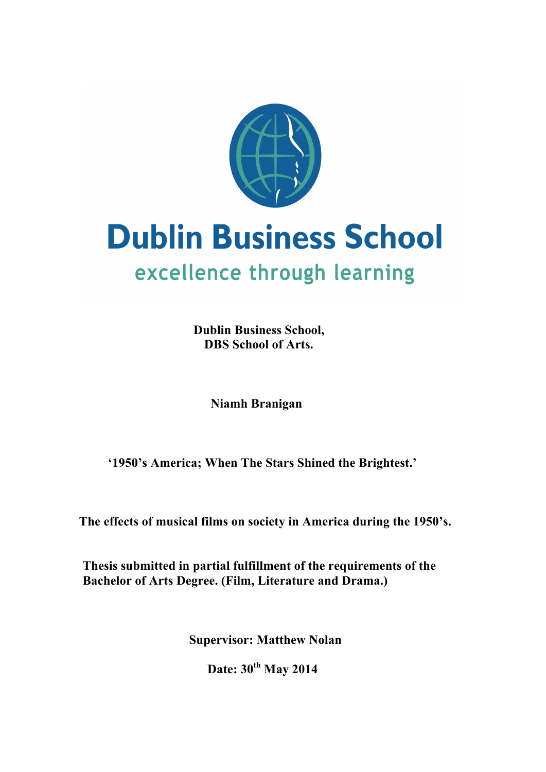

# **Dublin Business School** excellence through learning

**Dublin Business School, DBS School of Arts.**

 **Niamh Branigan** 

 **'1950's America; When The Stars Shined the Brightest.'**

 **The effects of musical films on society in America during the 1950's.**

**Thesis submitted in partial fulfillment of the requirements of the Bachelor of Arts Degree. (Film, Literature and Drama.)**

 **Supervisor: Matthew Nolan**

 **Date: 30th May 2014**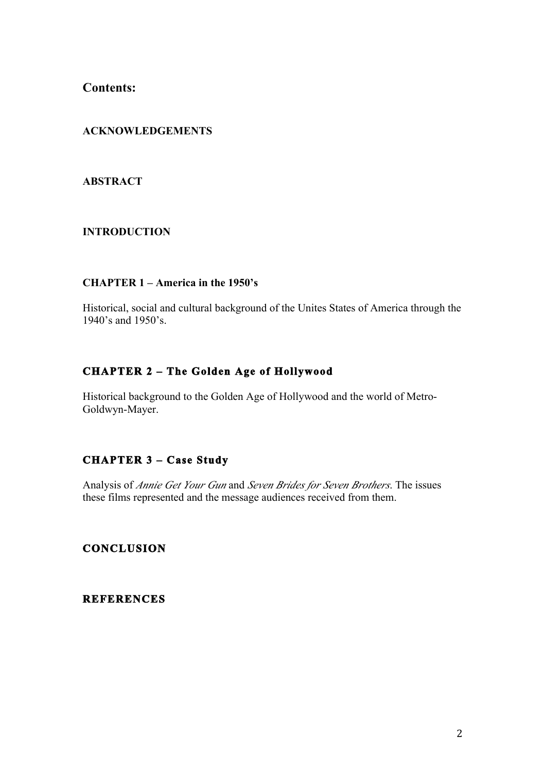**Contents:**

# **ACKNOWLEDGEMENTS**

### **ABSTRACT**

## **INTRODUCTION**

#### **CHAPTER 1 – America in the 1950's**

Historical, social and cultural background of the Unites States of America through the 1940's and 1950's.

# **CHAPTER 2 – The Golden Age of Hollywood**

Historical background to the Golden Age of Hollywood and the world of Metro-Goldwyn-Mayer.

# **CHAPTER 3 – Case Study**

Analysis of *Annie Get Your Gun* and *Seven Brides for Seven Brothers*. The issues these films represented and the message audiences received from them.

**CONCLUSION** 

**REFERENCES**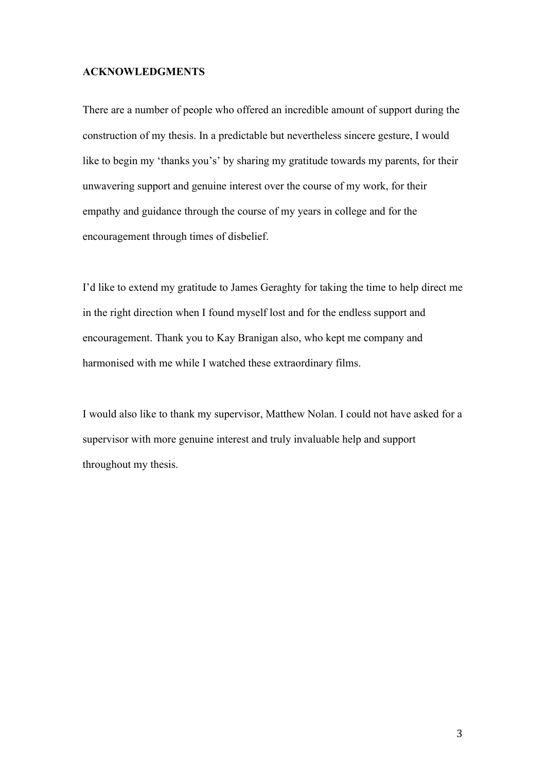#### **ACKNOWLEDGMENTS**

There are a number of people who offered an incredible amount of support during the construction of my thesis. In a predictable but nevertheless sincere gesture, I would like to begin my 'thanks you's' by sharing my gratitude towards my parents, for their unwavering support and genuine interest over the course of my work, for their empathy and guidance through the course of my years in college and for the encouragement through times of disbelief.

I'd like to extend my gratitude to James Geraghty for taking the time to help direct me in the right direction when I found myself lost and for the endless support and encouragement. Thank you to Kay Branigan also, who kept me company and harmonised with me while I watched these extraordinary films.

I would also like to thank my supervisor, Matthew Nolan. I could not have asked for a supervisor with more genuine interest and truly invaluable help and support throughout my thesis.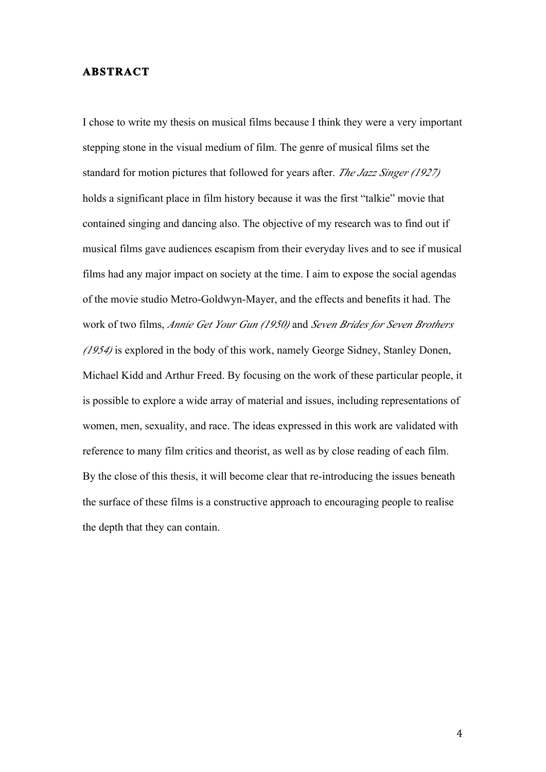#### **ABSTRACT**

I chose to write my thesis on musical films because I think they were a very important stepping stone in the visual medium of film. The genre of musical films set the standard for motion pictures that followed for years after. *The Jazz Singer (1927)* holds a significant place in film history because it was the first "talkie" movie that contained singing and dancing also. The objective of my research was to find out if musical films gave audiences escapism from their everyday lives and to see if musical films had any major impact on society at the time. I aim to expose the social agendas of the movie studio Metro-Goldwyn-Mayer, and the effects and benefits it had. The work of two films, *Annie Get Your Gun (1950)* and *Seven Brides for Seven Brothers (1954)* is explored in the body of this work, namely George Sidney, Stanley Donen, Michael Kidd and Arthur Freed. By focusing on the work of these particular people, it is possible to explore a wide array of material and issues, including representations of women, men, sexuality, and race. The ideas expressed in this work are validated with reference to many film critics and theorist, as well as by close reading of each film. By the close of this thesis, it will become clear that re-introducing the issues beneath the surface of these films is a constructive approach to encouraging people to realise the depth that they can contain.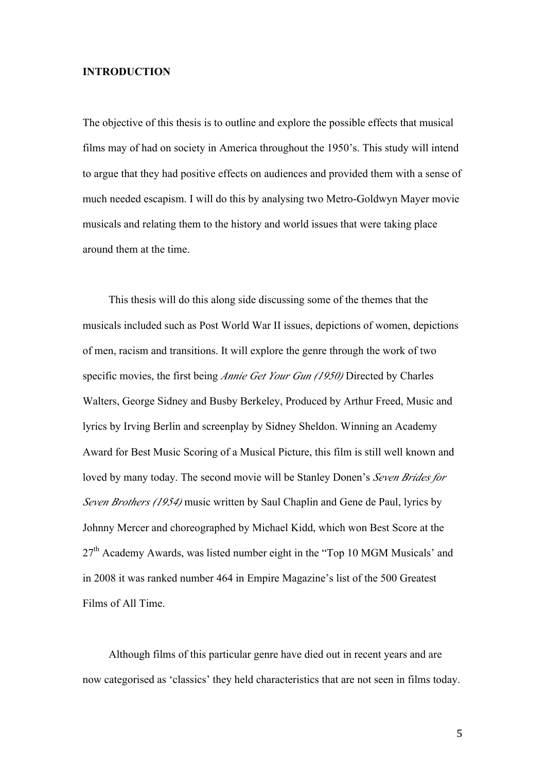#### **INTRODUCTION**

The objective of this thesis is to outline and explore the possible effects that musical films may of had on society in America throughout the 1950's. This study will intend to argue that they had positive effects on audiences and provided them with a sense of much needed escapism. I will do this by analysing two Metro-Goldwyn Mayer movie musicals and relating them to the history and world issues that were taking place around them at the time.

This thesis will do this along side discussing some of the themes that the musicals included such as Post World War II issues, depictions of women, depictions of men, racism and transitions. It will explore the genre through the work of two specific movies, the first being *Annie Get Your Gun (1950)* Directed by Charles Walters, George Sidney and Busby Berkeley, Produced by Arthur Freed, Music and lyrics by Irving Berlin and screenplay by Sidney Sheldon. Winning an Academy Award for Best Music Scoring of a Musical Picture, this film is still well known and loved by many today. The second movie will be Stanley Donen's *Seven Brides for Seven Brothers (1954)* music written by Saul Chaplin and Gene de Paul, lyrics by Johnny Mercer and choreographed by Michael Kidd, which won Best Score at the  $27<sup>th</sup>$  Academy Awards, was listed number eight in the "Top 10 MGM Musicals' and in 2008 it was ranked number 464 in Empire Magazine's list of the 500 Greatest Films of All Time.

Although films of this particular genre have died out in recent years and are now categorised as 'classics' they held characteristics that are not seen in films today.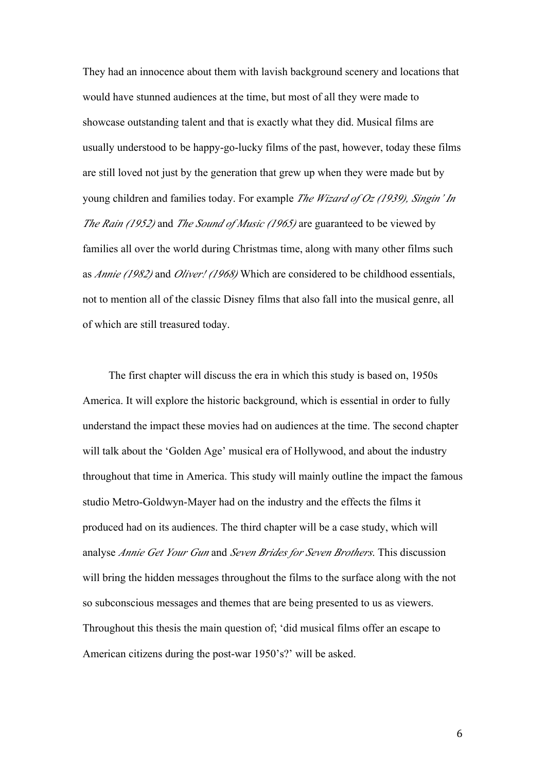They had an innocence about them with lavish background scenery and locations that would have stunned audiences at the time, but most of all they were made to showcase outstanding talent and that is exactly what they did. Musical films are usually understood to be happy-go-lucky films of the past, however, today these films are still loved not just by the generation that grew up when they were made but by young children and families today. For example *The Wizard of Oz (1939), Singin' In The Rain (1952)* and *The Sound of Music (1965)* are guaranteed to be viewed by families all over the world during Christmas time, along with many other films such as *Annie (1982)* and *Oliver! (1968)* Which are considered to be childhood essentials, not to mention all of the classic Disney films that also fall into the musical genre, all of which are still treasured today.

The first chapter will discuss the era in which this study is based on, 1950s America. It will explore the historic background, which is essential in order to fully understand the impact these movies had on audiences at the time. The second chapter will talk about the 'Golden Age' musical era of Hollywood, and about the industry throughout that time in America. This study will mainly outline the impact the famous studio Metro-Goldwyn-Mayer had on the industry and the effects the films it produced had on its audiences. The third chapter will be a case study, which will analyse *Annie Get Your Gun* and *Seven Brides for Seven Brothers*. This discussion will bring the hidden messages throughout the films to the surface along with the not so subconscious messages and themes that are being presented to us as viewers. Throughout this thesis the main question of; 'did musical films offer an escape to American citizens during the post-war 1950's?' will be asked.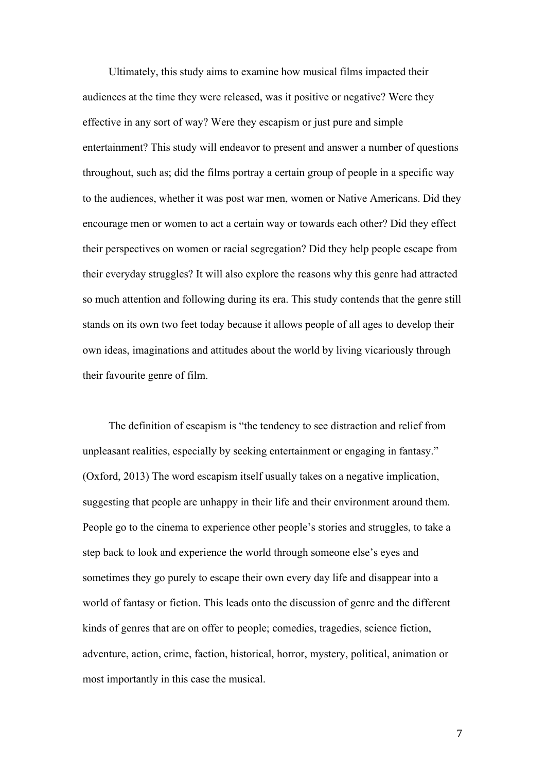Ultimately, this study aims to examine how musical films impacted their audiences at the time they were released, was it positive or negative? Were they effective in any sort of way? Were they escapism or just pure and simple entertainment? This study will endeavor to present and answer a number of questions throughout, such as; did the films portray a certain group of people in a specific way to the audiences, whether it was post war men, women or Native Americans. Did they encourage men or women to act a certain way or towards each other? Did they effect their perspectives on women or racial segregation? Did they help people escape from their everyday struggles? It will also explore the reasons why this genre had attracted so much attention and following during its era. This study contends that the genre still stands on its own two feet today because it allows people of all ages to develop their own ideas, imaginations and attitudes about the world by living vicariously through their favourite genre of film.

The definition of escapism is "the tendency to see distraction and relief from unpleasant realities, especially by seeking entertainment or engaging in fantasy." (Oxford, 2013) The word escapism itself usually takes on a negative implication, suggesting that people are unhappy in their life and their environment around them. People go to the cinema to experience other people's stories and struggles, to take a step back to look and experience the world through someone else's eyes and sometimes they go purely to escape their own every day life and disappear into a world of fantasy or fiction. This leads onto the discussion of genre and the different kinds of genres that are on offer to people; comedies, tragedies, science fiction, adventure, action, crime, faction, historical, horror, mystery, political, animation or most importantly in this case the musical.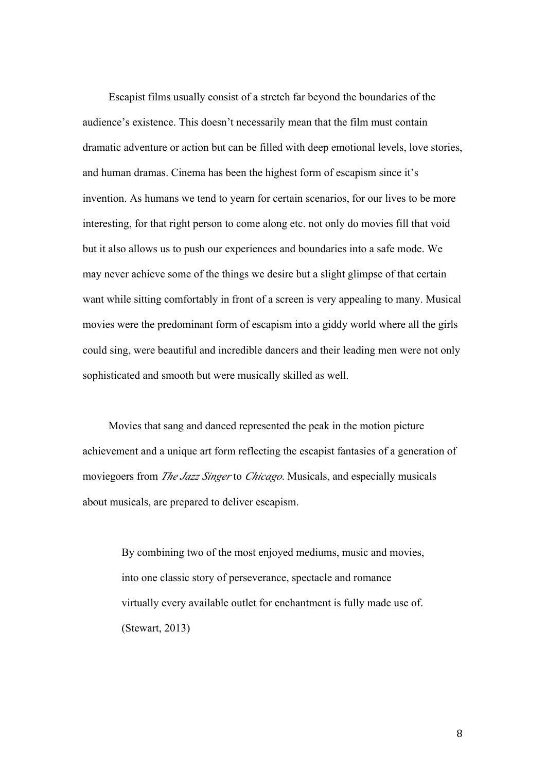Escapist films usually consist of a stretch far beyond the boundaries of the audience's existence. This doesn't necessarily mean that the film must contain dramatic adventure or action but can be filled with deep emotional levels, love stories, and human dramas. Cinema has been the highest form of escapism since it's invention. As humans we tend to yearn for certain scenarios, for our lives to be more interesting, for that right person to come along etc. not only do movies fill that void but it also allows us to push our experiences and boundaries into a safe mode. We may never achieve some of the things we desire but a slight glimpse of that certain want while sitting comfortably in front of a screen is very appealing to many. Musical movies were the predominant form of escapism into a giddy world where all the girls could sing, were beautiful and incredible dancers and their leading men were not only sophisticated and smooth but were musically skilled as well.

Movies that sang and danced represented the peak in the motion picture achievement and a unique art form reflecting the escapist fantasies of a generation of moviegoers from *The Jazz Singer* to *Chicago*. Musicals, and especially musicals about musicals, are prepared to deliver escapism.

> By combining two of the most enjoyed mediums, music and movies, into one classic story of perseverance, spectacle and romance virtually every available outlet for enchantment is fully made use of. (Stewart, 2013)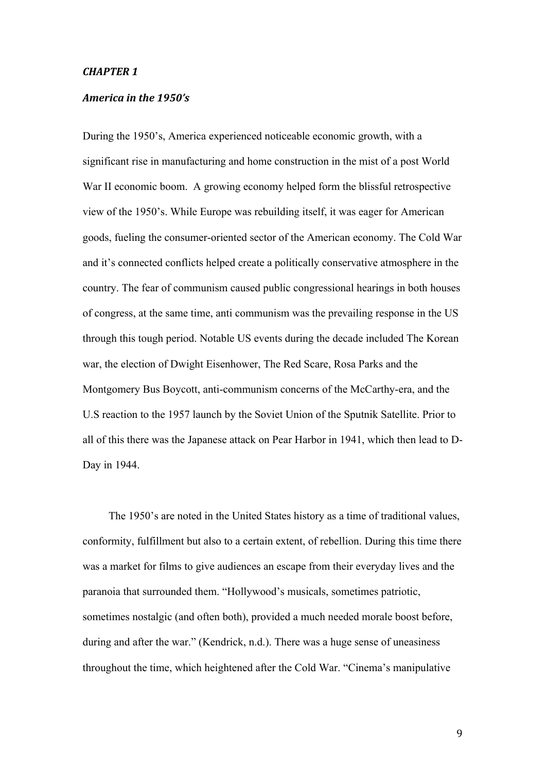#### **CHAPTER 1**

#### *America in the 1950's*

During the 1950's, America experienced noticeable economic growth, with a significant rise in manufacturing and home construction in the mist of a post World War II economic boom. A growing economy helped form the blissful retrospective view of the 1950's. While Europe was rebuilding itself, it was eager for American goods, fueling the consumer-oriented sector of the American economy. The Cold War and it's connected conflicts helped create a politically conservative atmosphere in the country. The fear of communism caused public congressional hearings in both houses of congress, at the same time, anti communism was the prevailing response in the US through this tough period. Notable US events during the decade included The Korean war, the election of Dwight Eisenhower, The Red Scare, Rosa Parks and the Montgomery Bus Boycott, anti-communism concerns of the McCarthy-era, and the U.S reaction to the 1957 launch by the Soviet Union of the Sputnik Satellite. Prior to all of this there was the Japanese attack on Pear Harbor in 1941, which then lead to D-Day in 1944.

The 1950's are noted in the United States history as a time of traditional values, conformity, fulfillment but also to a certain extent, of rebellion. During this time there was a market for films to give audiences an escape from their everyday lives and the paranoia that surrounded them. "Hollywood's musicals, sometimes patriotic, sometimes nostalgic (and often both), provided a much needed morale boost before, during and after the war." (Kendrick, n.d.). There was a huge sense of uneasiness throughout the time, which heightened after the Cold War. "Cinema's manipulative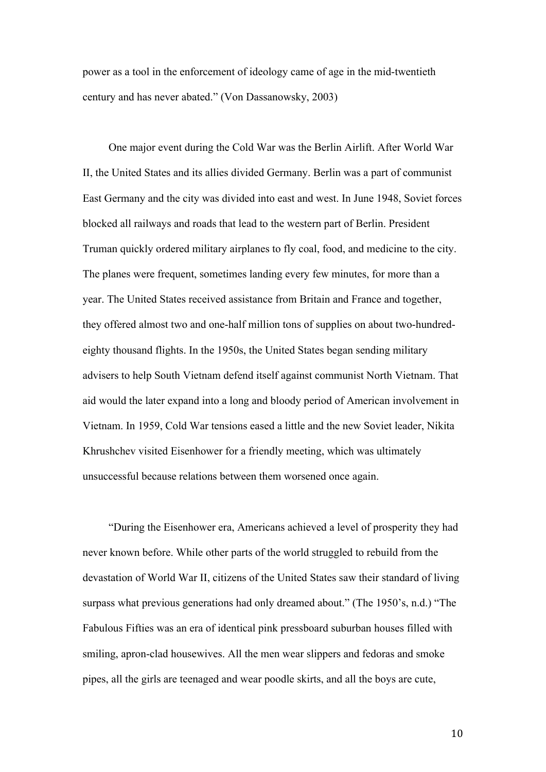power as a tool in the enforcement of ideology came of age in the mid-twentieth century and has never abated." (Von Dassanowsky, 2003)

One major event during the Cold War was the Berlin Airlift. After World War II, the United States and its allies divided Germany. Berlin was a part of communist East Germany and the city was divided into east and west. In June 1948, Soviet forces blocked all railways and roads that lead to the western part of Berlin. President Truman quickly ordered military airplanes to fly coal, food, and medicine to the city. The planes were frequent, sometimes landing every few minutes, for more than a year. The United States received assistance from Britain and France and together, they offered almost two and one-half million tons of supplies on about two-hundredeighty thousand flights. In the 1950s, the United States began sending military advisers to help South Vietnam defend itself against communist North Vietnam. That aid would the later expand into a long and bloody period of American involvement in Vietnam. In 1959, Cold War tensions eased a little and the new Soviet leader, Nikita Khrushchev visited Eisenhower for a friendly meeting, which was ultimately unsuccessful because relations between them worsened once again.

"During the Eisenhower era, Americans achieved a level of prosperity they had never known before. While other parts of the world struggled to rebuild from the devastation of World War II, citizens of the United States saw their standard of living surpass what previous generations had only dreamed about." (The 1950's, n.d.) "The Fabulous Fifties was an era of identical pink pressboard suburban houses filled with smiling, apron-clad housewives. All the men wear slippers and fedoras and smoke pipes, all the girls are teenaged and wear poodle skirts, and all the boys are cute,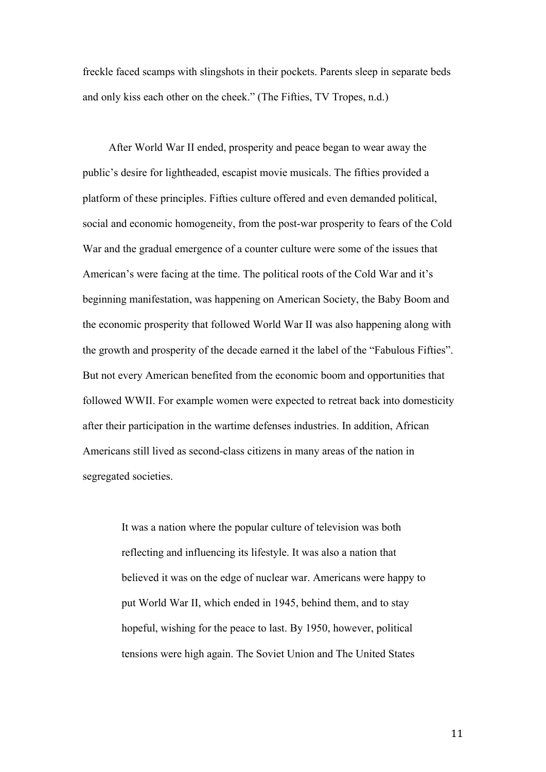freckle faced scamps with slingshots in their pockets. Parents sleep in separate beds and only kiss each other on the cheek." (The Fifties, TV Tropes, n.d.)

After World War II ended, prosperity and peace began to wear away the public's desire for lightheaded, escapist movie musicals. The fifties provided a platform of these principles. Fifties culture offered and even demanded political, social and economic homogeneity, from the post-war prosperity to fears of the Cold War and the gradual emergence of a counter culture were some of the issues that American's were facing at the time. The political roots of the Cold War and it's beginning manifestation, was happening on American Society, the Baby Boom and the economic prosperity that followed World War II was also happening along with the growth and prosperity of the decade earned it the label of the "Fabulous Fifties". But not every American benefited from the economic boom and opportunities that followed WWII. For example women were expected to retreat back into domesticity after their participation in the wartime defenses industries. In addition, African Americans still lived as second-class citizens in many areas of the nation in segregated societies.

> It was a nation where the popular culture of television was both reflecting and influencing its lifestyle. It was also a nation that believed it was on the edge of nuclear war. Americans were happy to put World War II, which ended in 1945, behind them, and to stay hopeful, wishing for the peace to last. By 1950, however, political tensions were high again. The Soviet Union and The United States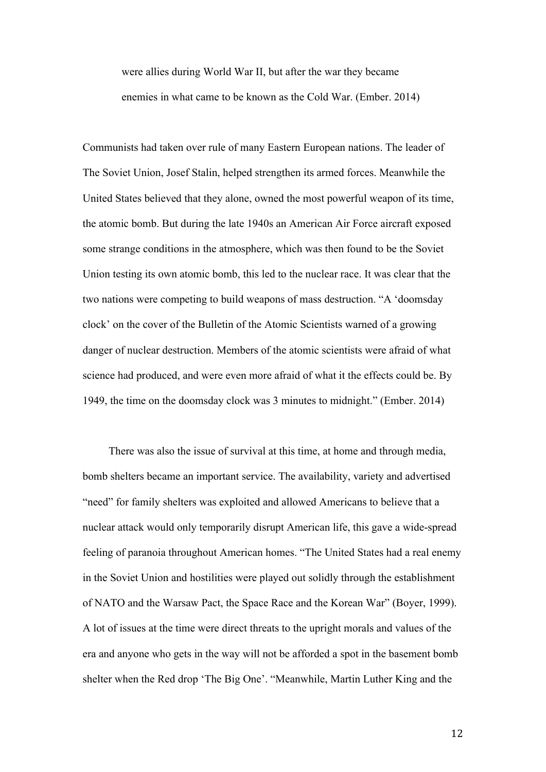were allies during World War II, but after the war they became enemies in what came to be known as the Cold War. (Ember. 2014)

Communists had taken over rule of many Eastern European nations. The leader of The Soviet Union, Josef Stalin, helped strengthen its armed forces. Meanwhile the United States believed that they alone, owned the most powerful weapon of its time, the atomic bomb. But during the late 1940s an American Air Force aircraft exposed some strange conditions in the atmosphere, which was then found to be the Soviet Union testing its own atomic bomb, this led to the nuclear race. It was clear that the two nations were competing to build weapons of mass destruction. "A 'doomsday clock' on the cover of the Bulletin of the Atomic Scientists warned of a growing danger of nuclear destruction. Members of the atomic scientists were afraid of what science had produced, and were even more afraid of what it the effects could be. By 1949, the time on the doomsday clock was 3 minutes to midnight." (Ember. 2014)

There was also the issue of survival at this time, at home and through media, bomb shelters became an important service. The availability, variety and advertised "need" for family shelters was exploited and allowed Americans to believe that a nuclear attack would only temporarily disrupt American life, this gave a wide-spread feeling of paranoia throughout American homes. "The United States had a real enemy in the Soviet Union and hostilities were played out solidly through the establishment of NATO and the Warsaw Pact, the Space Race and the Korean War" (Boyer, 1999). A lot of issues at the time were direct threats to the upright morals and values of the era and anyone who gets in the way will not be afforded a spot in the basement bomb shelter when the Red drop 'The Big One'. "Meanwhile, Martin Luther King and the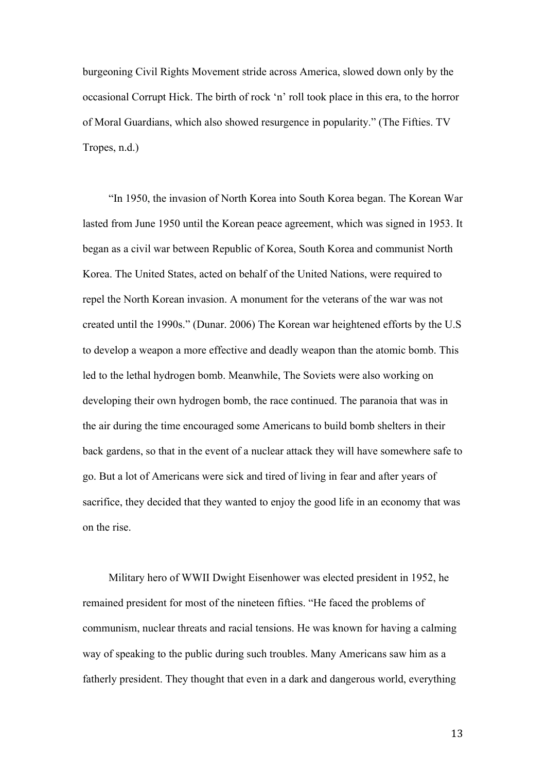burgeoning Civil Rights Movement stride across America, slowed down only by the occasional Corrupt Hick. The birth of rock 'n' roll took place in this era, to the horror of Moral Guardians, which also showed resurgence in popularity." (The Fifties. TV Tropes, n.d.)

"In 1950, the invasion of North Korea into South Korea began. The Korean War lasted from June 1950 until the Korean peace agreement, which was signed in 1953. It began as a civil war between Republic of Korea, South Korea and communist North Korea. The United States, acted on behalf of the United Nations, were required to repel the North Korean invasion. A monument for the veterans of the war was not created until the 1990s." (Dunar. 2006) The Korean war heightened efforts by the U.S to develop a weapon a more effective and deadly weapon than the atomic bomb. This led to the lethal hydrogen bomb. Meanwhile, The Soviets were also working on developing their own hydrogen bomb, the race continued. The paranoia that was in the air during the time encouraged some Americans to build bomb shelters in their back gardens, so that in the event of a nuclear attack they will have somewhere safe to go. But a lot of Americans were sick and tired of living in fear and after years of sacrifice, they decided that they wanted to enjoy the good life in an economy that was on the rise.

Military hero of WWII Dwight Eisenhower was elected president in 1952, he remained president for most of the nineteen fifties. "He faced the problems of communism, nuclear threats and racial tensions. He was known for having a calming way of speaking to the public during such troubles. Many Americans saw him as a fatherly president. They thought that even in a dark and dangerous world, everything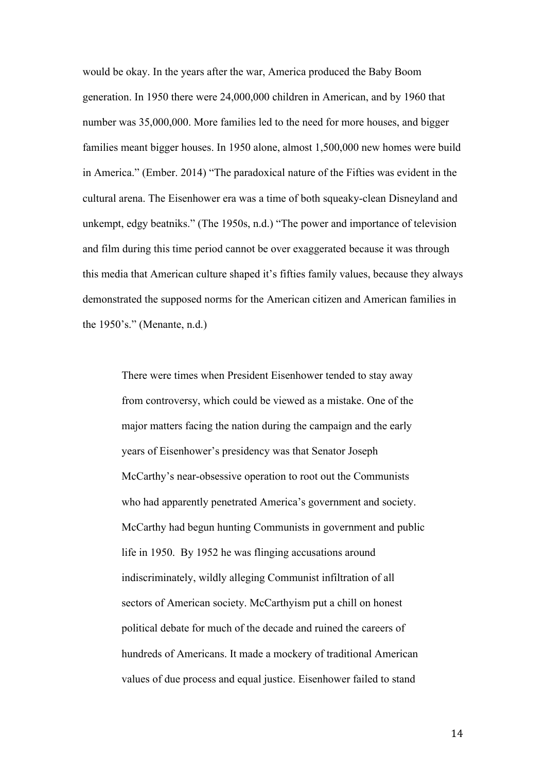would be okay. In the years after the war, America produced the Baby Boom generation. In 1950 there were 24,000,000 children in American, and by 1960 that number was 35,000,000. More families led to the need for more houses, and bigger families meant bigger houses. In 1950 alone, almost 1,500,000 new homes were build in America." (Ember. 2014) "The paradoxical nature of the Fifties was evident in the cultural arena. The Eisenhower era was a time of both squeaky-clean Disneyland and unkempt, edgy beatniks." (The 1950s, n.d.) "The power and importance of television and film during this time period cannot be over exaggerated because it was through this media that American culture shaped it's fifties family values, because they always demonstrated the supposed norms for the American citizen and American families in the 1950's." (Menante, n.d.)

There were times when President Eisenhower tended to stay away from controversy, which could be viewed as a mistake. One of the major matters facing the nation during the campaign and the early years of Eisenhower's presidency was that Senator Joseph McCarthy's near-obsessive operation to root out the Communists who had apparently penetrated America's government and society. McCarthy had begun hunting Communists in government and public life in 1950. By 1952 he was flinging accusations around indiscriminately, wildly alleging Communist infiltration of all sectors of American society. McCarthyism put a chill on honest political debate for much of the decade and ruined the careers of hundreds of Americans. It made a mockery of traditional American values of due process and equal justice. Eisenhower failed to stand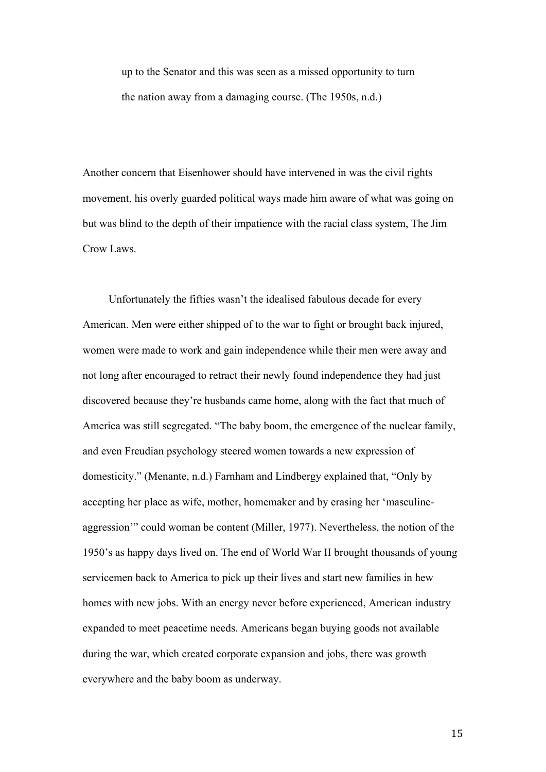up to the Senator and this was seen as a missed opportunity to turn the nation away from a damaging course. (The 1950s, n.d.)

Another concern that Eisenhower should have intervened in was the civil rights movement, his overly guarded political ways made him aware of what was going on but was blind to the depth of their impatience with the racial class system, The Jim Crow Laws.

Unfortunately the fifties wasn't the idealised fabulous decade for every American. Men were either shipped of to the war to fight or brought back injured, women were made to work and gain independence while their men were away and not long after encouraged to retract their newly found independence they had just discovered because they're husbands came home, along with the fact that much of America was still segregated. "The baby boom, the emergence of the nuclear family, and even Freudian psychology steered women towards a new expression of domesticity." (Menante, n.d.) Farnham and Lindbergy explained that, "Only by accepting her place as wife, mother, homemaker and by erasing her 'masculineaggression'" could woman be content (Miller, 1977). Nevertheless, the notion of the 1950's as happy days lived on. The end of World War II brought thousands of young servicemen back to America to pick up their lives and start new families in hew homes with new jobs. With an energy never before experienced, American industry expanded to meet peacetime needs. Americans began buying goods not available during the war, which created corporate expansion and jobs, there was growth everywhere and the baby boom as underway.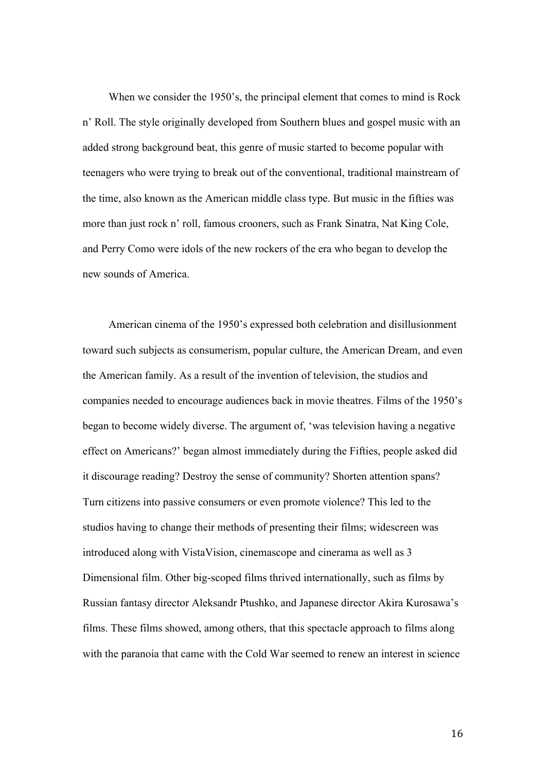When we consider the 1950's, the principal element that comes to mind is Rock n' Roll. The style originally developed from Southern blues and gospel music with an added strong background beat, this genre of music started to become popular with teenagers who were trying to break out of the conventional, traditional mainstream of the time, also known as the American middle class type. But music in the fifties was more than just rock n' roll, famous crooners, such as Frank Sinatra, Nat King Cole, and Perry Como were idols of the new rockers of the era who began to develop the new sounds of America.

American cinema of the 1950's expressed both celebration and disillusionment toward such subjects as consumerism, popular culture, the American Dream, and even the American family. As a result of the invention of television, the studios and companies needed to encourage audiences back in movie theatres. Films of the 1950's began to become widely diverse. The argument of, 'was television having a negative effect on Americans?' began almost immediately during the Fifties, people asked did it discourage reading? Destroy the sense of community? Shorten attention spans? Turn citizens into passive consumers or even promote violence? This led to the studios having to change their methods of presenting their films; widescreen was introduced along with VistaVision, cinemascope and cinerama as well as 3 Dimensional film. Other big-scoped films thrived internationally, such as films by Russian fantasy director Aleksandr Ptushko, and Japanese director Akira Kurosawa's films. These films showed, among others, that this spectacle approach to films along with the paranoia that came with the Cold War seemed to renew an interest in science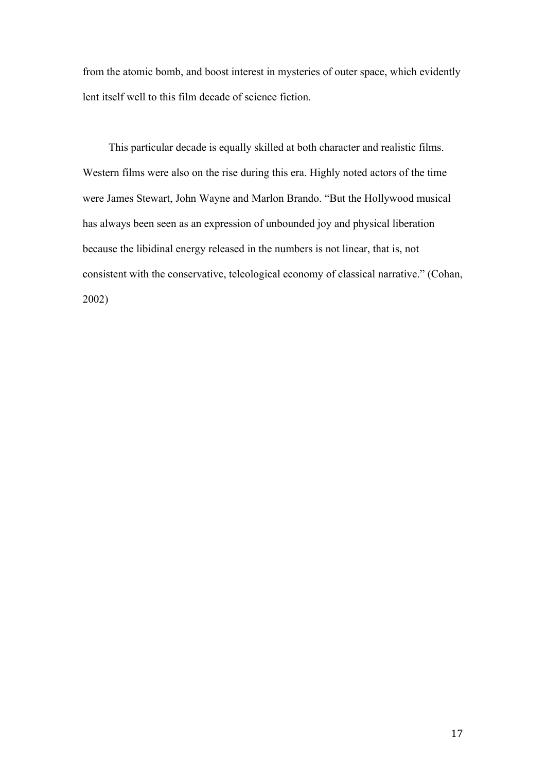from the atomic bomb, and boost interest in mysteries of outer space, which evidently lent itself well to this film decade of science fiction.

This particular decade is equally skilled at both character and realistic films. Western films were also on the rise during this era. Highly noted actors of the time were James Stewart, John Wayne and Marlon Brando. "But the Hollywood musical has always been seen as an expression of unbounded joy and physical liberation because the libidinal energy released in the numbers is not linear, that is, not consistent with the conservative, teleological economy of classical narrative." (Cohan, 2002)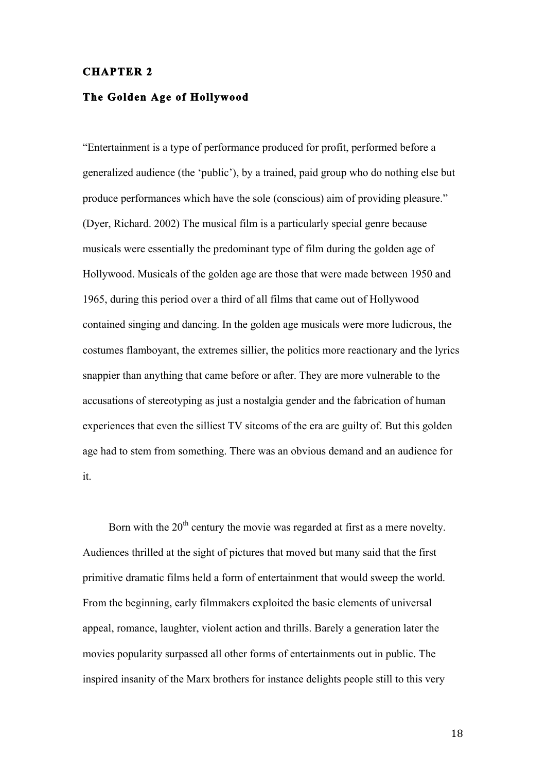#### **CHAPTER 2**

#### **The Golden Age of Hollywood**

"Entertainment is a type of performance produced for profit, performed before a generalized audience (the 'public'), by a trained, paid group who do nothing else but produce performances which have the sole (conscious) aim of providing pleasure." (Dyer, Richard. 2002) The musical film is a particularly special genre because musicals were essentially the predominant type of film during the golden age of Hollywood. Musicals of the golden age are those that were made between 1950 and 1965, during this period over a third of all films that came out of Hollywood contained singing and dancing. In the golden age musicals were more ludicrous, the costumes flamboyant, the extremes sillier, the politics more reactionary and the lyrics snappier than anything that came before or after. They are more vulnerable to the accusations of stereotyping as just a nostalgia gender and the fabrication of human experiences that even the silliest TV sitcoms of the era are guilty of. But this golden age had to stem from something. There was an obvious demand and an audience for it.

Born with the  $20<sup>th</sup>$  century the movie was regarded at first as a mere novelty. Audiences thrilled at the sight of pictures that moved but many said that the first primitive dramatic films held a form of entertainment that would sweep the world. From the beginning, early filmmakers exploited the basic elements of universal appeal, romance, laughter, violent action and thrills. Barely a generation later the movies popularity surpassed all other forms of entertainments out in public. The inspired insanity of the Marx brothers for instance delights people still to this very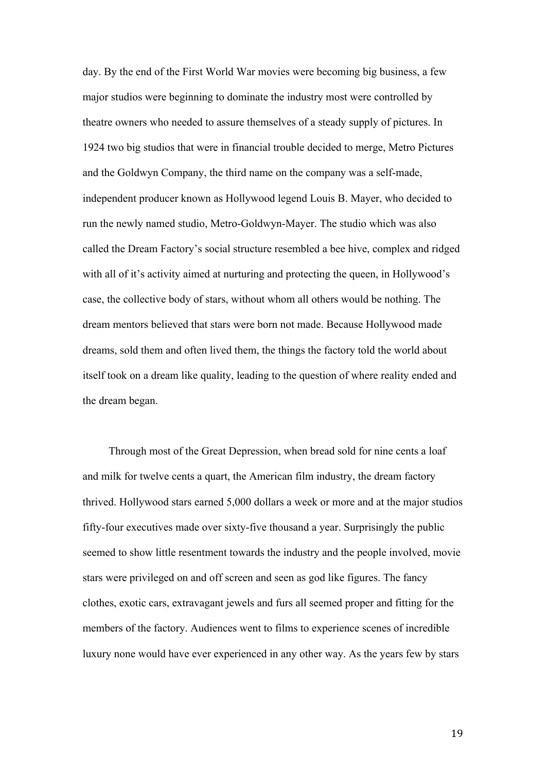day. By the end of the First World War movies were becoming big business, a few major studios were beginning to dominate the industry most were controlled by theatre owners who needed to assure themselves of a steady supply of pictures. In 1924 two big studios that were in financial trouble decided to merge, Metro Pictures and the Goldwyn Company, the third name on the company was a self-made, independent producer known as Hollywood legend Louis B. Mayer, who decided to run the newly named studio, Metro-Goldwyn-Mayer. The studio which was also called the Dream Factory's social structure resembled a bee hive, complex and ridged with all of it's activity aimed at nurturing and protecting the queen, in Hollywood's case, the collective body of stars, without whom all others would be nothing. The dream mentors believed that stars were born not made. Because Hollywood made dreams, sold them and often lived them, the things the factory told the world about itself took on a dream like quality, leading to the question of where reality ended and the dream began.

Through most of the Great Depression, when bread sold for nine cents a loaf and milk for twelve cents a quart, the American film industry, the dream factory thrived. Hollywood stars earned 5,000 dollars a week or more and at the major studios fifty-four executives made over sixty-five thousand a year. Surprisingly the public seemed to show little resentment towards the industry and the people involved, movie stars were privileged on and off screen and seen as god like figures. The fancy clothes, exotic cars, extravagant jewels and furs all seemed proper and fitting for the members of the factory. Audiences went to films to experience scenes of incredible luxury none would have ever experienced in any other way. As the years few by stars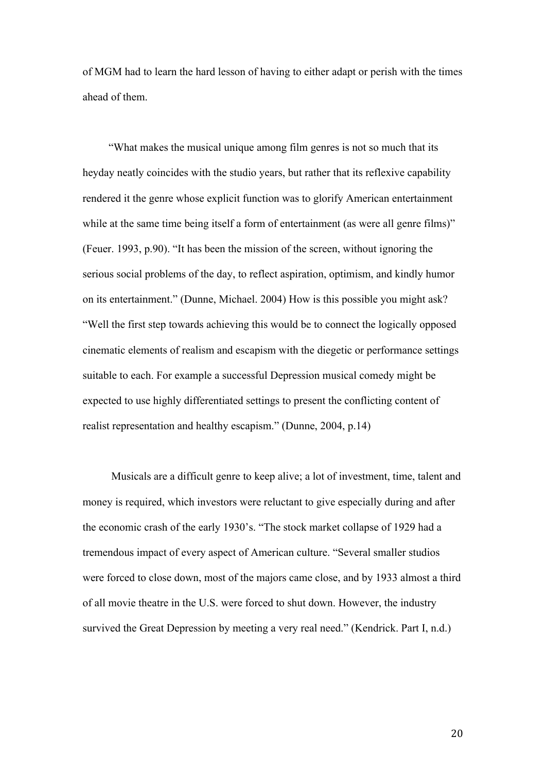of MGM had to learn the hard lesson of having to either adapt or perish with the times ahead of them.

"What makes the musical unique among film genres is not so much that its heyday neatly coincides with the studio years, but rather that its reflexive capability rendered it the genre whose explicit function was to glorify American entertainment while at the same time being itself a form of entertainment (as were all genre films)" (Feuer. 1993, p.90). "It has been the mission of the screen, without ignoring the serious social problems of the day, to reflect aspiration, optimism, and kindly humor on its entertainment." (Dunne, Michael. 2004) How is this possible you might ask? "Well the first step towards achieving this would be to connect the logically opposed cinematic elements of realism and escapism with the diegetic or performance settings suitable to each. For example a successful Depression musical comedy might be expected to use highly differentiated settings to present the conflicting content of realist representation and healthy escapism." (Dunne, 2004, p.14)

 Musicals are a difficult genre to keep alive; a lot of investment, time, talent and money is required, which investors were reluctant to give especially during and after the economic crash of the early 1930's. "The stock market collapse of 1929 had a tremendous impact of every aspect of American culture. "Several smaller studios were forced to close down, most of the majors came close, and by 1933 almost a third of all movie theatre in the U.S. were forced to shut down. However, the industry survived the Great Depression by meeting a very real need." (Kendrick. Part I, n.d.)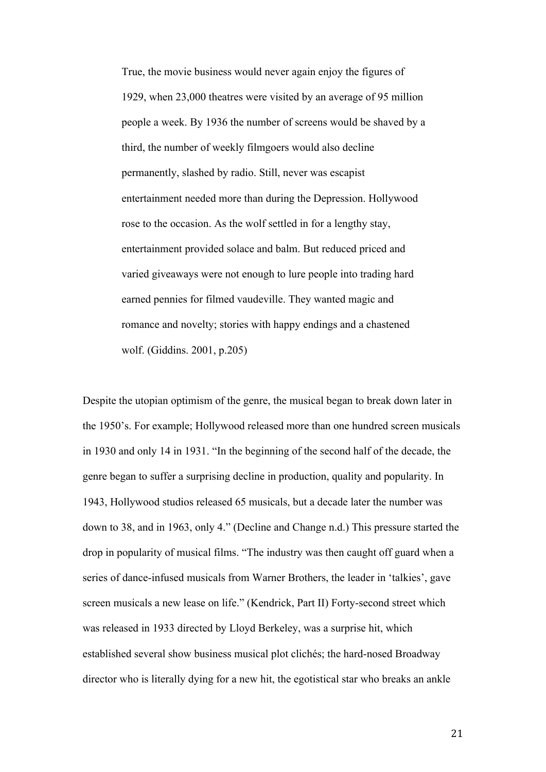True, the movie business would never again enjoy the figures of 1929, when 23,000 theatres were visited by an average of 95 million people a week. By 1936 the number of screens would be shaved by a third, the number of weekly filmgoers would also decline permanently, slashed by radio. Still, never was escapist entertainment needed more than during the Depression. Hollywood rose to the occasion. As the wolf settled in for a lengthy stay, entertainment provided solace and balm. But reduced priced and varied giveaways were not enough to lure people into trading hard earned pennies for filmed vaudeville. They wanted magic and romance and novelty; stories with happy endings and a chastened wolf. (Giddins. 2001, p.205)

Despite the utopian optimism of the genre, the musical began to break down later in the 1950's. For example; Hollywood released more than one hundred screen musicals in 1930 and only 14 in 1931. "In the beginning of the second half of the decade, the genre began to suffer a surprising decline in production, quality and popularity. In 1943, Hollywood studios released 65 musicals, but a decade later the number was down to 38, and in 1963, only 4." (Decline and Change n.d.) This pressure started the drop in popularity of musical films. "The industry was then caught off guard when a series of dance-infused musicals from Warner Brothers, the leader in 'talkies', gave screen musicals a new lease on life." (Kendrick, Part II) Forty-second street which was released in 1933 directed by Lloyd Berkeley, was a surprise hit, which established several show business musical plot clichés; the hard-nosed Broadway director who is literally dying for a new hit, the egotistical star who breaks an ankle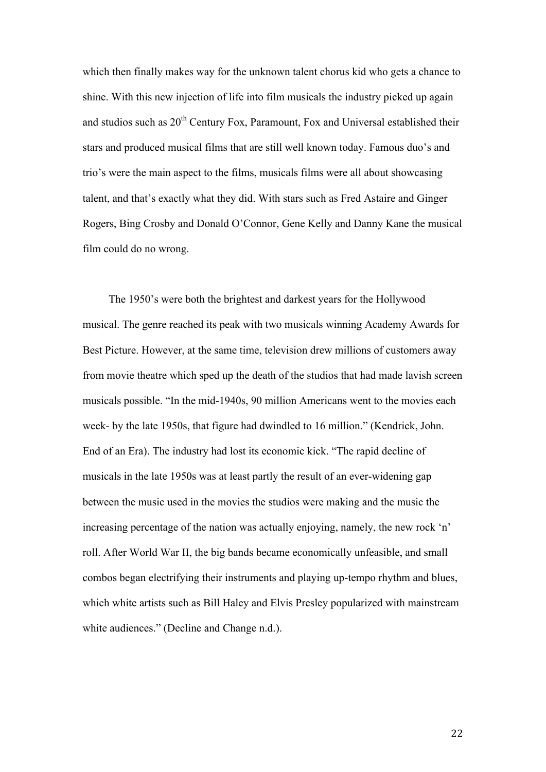which then finally makes way for the unknown talent chorus kid who gets a chance to shine. With this new injection of life into film musicals the industry picked up again and studios such as  $20<sup>th</sup>$  Century Fox, Paramount, Fox and Universal established their stars and produced musical films that are still well known today. Famous duo's and trio's were the main aspect to the films, musicals films were all about showcasing talent, and that's exactly what they did. With stars such as Fred Astaire and Ginger Rogers, Bing Crosby and Donald O'Connor, Gene Kelly and Danny Kane the musical film could do no wrong.

The 1950's were both the brightest and darkest years for the Hollywood musical. The genre reached its peak with two musicals winning Academy Awards for Best Picture. However, at the same time, television drew millions of customers away from movie theatre which sped up the death of the studios that had made lavish screen musicals possible. "In the mid-1940s, 90 million Americans went to the movies each week- by the late 1950s, that figure had dwindled to 16 million." (Kendrick, John. End of an Era). The industry had lost its economic kick. "The rapid decline of musicals in the late 1950s was at least partly the result of an ever-widening gap between the music used in the movies the studios were making and the music the increasing percentage of the nation was actually enjoying, namely, the new rock 'n' roll. After World War II, the big bands became economically unfeasible, and small combos began electrifying their instruments and playing up-tempo rhythm and blues, which white artists such as Bill Haley and Elvis Presley popularized with mainstream white audiences." (Decline and Change n.d.).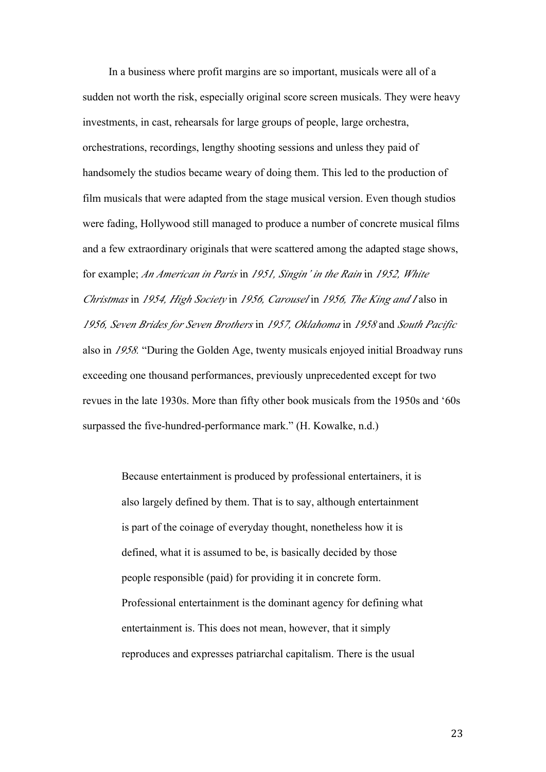In a business where profit margins are so important, musicals were all of a sudden not worth the risk, especially original score screen musicals. They were heavy investments, in cast, rehearsals for large groups of people, large orchestra, orchestrations, recordings, lengthy shooting sessions and unless they paid of handsomely the studios became weary of doing them. This led to the production of film musicals that were adapted from the stage musical version. Even though studios were fading, Hollywood still managed to produce a number of concrete musical films and a few extraordinary originals that were scattered among the adapted stage shows, for example; *An American in Paris* in *1951, Singin' in the Rain* in *1952, White Christmas* in *1954, High Society* in *1956, Carousel* in *1956, The King and I* also in *1956, Seven Brides for Seven Brothers* in *1957, Oklahoma* in *1958* and *South Pacific* also in *1958.* "During the Golden Age, twenty musicals enjoyed initial Broadway runs exceeding one thousand performances, previously unprecedented except for two revues in the late 1930s. More than fifty other book musicals from the 1950s and '60s surpassed the five-hundred-performance mark." (H. Kowalke, n.d.)

> Because entertainment is produced by professional entertainers, it is also largely defined by them. That is to say, although entertainment is part of the coinage of everyday thought, nonetheless how it is defined, what it is assumed to be, is basically decided by those people responsible (paid) for providing it in concrete form. Professional entertainment is the dominant agency for defining what entertainment is. This does not mean, however, that it simply reproduces and expresses patriarchal capitalism. There is the usual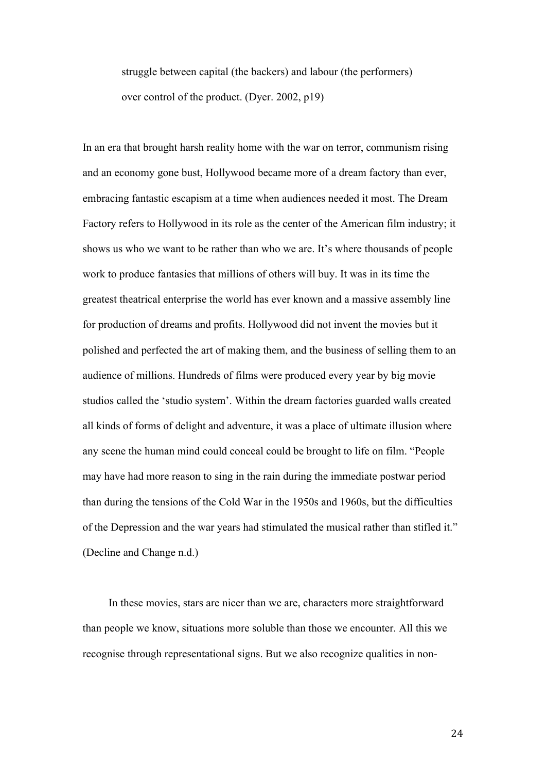struggle between capital (the backers) and labour (the performers) over control of the product. (Dyer. 2002, p19)

In an era that brought harsh reality home with the war on terror, communism rising and an economy gone bust, Hollywood became more of a dream factory than ever, embracing fantastic escapism at a time when audiences needed it most. The Dream Factory refers to Hollywood in its role as the center of the American film industry; it shows us who we want to be rather than who we are. It's where thousands of people work to produce fantasies that millions of others will buy. It was in its time the greatest theatrical enterprise the world has ever known and a massive assembly line for production of dreams and profits. Hollywood did not invent the movies but it polished and perfected the art of making them, and the business of selling them to an audience of millions. Hundreds of films were produced every year by big movie studios called the 'studio system'. Within the dream factories guarded walls created all kinds of forms of delight and adventure, it was a place of ultimate illusion where any scene the human mind could conceal could be brought to life on film. "People may have had more reason to sing in the rain during the immediate postwar period than during the tensions of the Cold War in the 1950s and 1960s, but the difficulties of the Depression and the war years had stimulated the musical rather than stifled it." (Decline and Change n.d.)

In these movies, stars are nicer than we are, characters more straightforward than people we know, situations more soluble than those we encounter. All this we recognise through representational signs. But we also recognize qualities in non-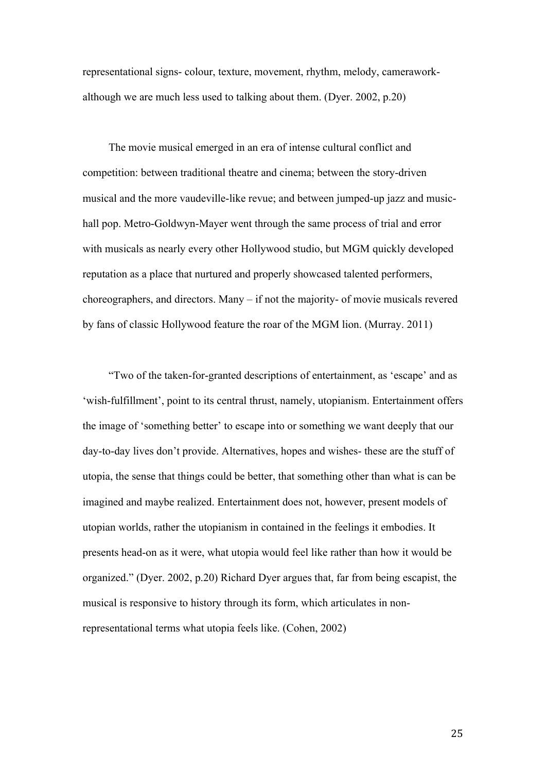representational signs- colour, texture, movement, rhythm, melody, cameraworkalthough we are much less used to talking about them. (Dyer. 2002, p.20)

The movie musical emerged in an era of intense cultural conflict and competition: between traditional theatre and cinema; between the story-driven musical and the more vaudeville-like revue; and between jumped-up jazz and musichall pop. Metro-Goldwyn-Mayer went through the same process of trial and error with musicals as nearly every other Hollywood studio, but MGM quickly developed reputation as a place that nurtured and properly showcased talented performers, choreographers, and directors. Many – if not the majority- of movie musicals revered by fans of classic Hollywood feature the roar of the MGM lion. (Murray. 2011)

"Two of the taken-for-granted descriptions of entertainment, as 'escape' and as 'wish-fulfillment', point to its central thrust, namely, utopianism. Entertainment offers the image of 'something better' to escape into or something we want deeply that our day-to-day lives don't provide. Alternatives, hopes and wishes- these are the stuff of utopia, the sense that things could be better, that something other than what is can be imagined and maybe realized. Entertainment does not, however, present models of utopian worlds, rather the utopianism in contained in the feelings it embodies. It presents head-on as it were, what utopia would feel like rather than how it would be organized." (Dyer. 2002, p.20) Richard Dyer argues that, far from being escapist, the musical is responsive to history through its form, which articulates in nonrepresentational terms what utopia feels like. (Cohen, 2002)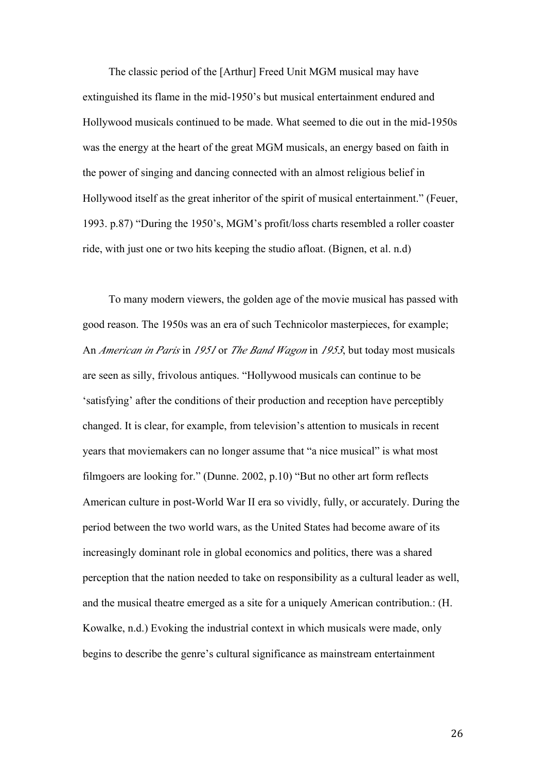The classic period of the [Arthur] Freed Unit MGM musical may have extinguished its flame in the mid-1950's but musical entertainment endured and Hollywood musicals continued to be made. What seemed to die out in the mid-1950s was the energy at the heart of the great MGM musicals, an energy based on faith in the power of singing and dancing connected with an almost religious belief in Hollywood itself as the great inheritor of the spirit of musical entertainment." (Feuer, 1993. p.87) "During the 1950's, MGM's profit/loss charts resembled a roller coaster ride, with just one or two hits keeping the studio afloat. (Bignen, et al. n.d)

To many modern viewers, the golden age of the movie musical has passed with good reason. The 1950s was an era of such Technicolor masterpieces, for example; An *American in Paris* in *1951* or *The Band Wagon* in *1953*, but today most musicals are seen as silly, frivolous antiques. "Hollywood musicals can continue to be 'satisfying' after the conditions of their production and reception have perceptibly changed. It is clear, for example, from television's attention to musicals in recent years that moviemakers can no longer assume that "a nice musical" is what most filmgoers are looking for." (Dunne. 2002, p.10) "But no other art form reflects American culture in post-World War II era so vividly, fully, or accurately. During the period between the two world wars, as the United States had become aware of its increasingly dominant role in global economics and politics, there was a shared perception that the nation needed to take on responsibility as a cultural leader as well, and the musical theatre emerged as a site for a uniquely American contribution.: (H. Kowalke, n.d.) Evoking the industrial context in which musicals were made, only begins to describe the genre's cultural significance as mainstream entertainment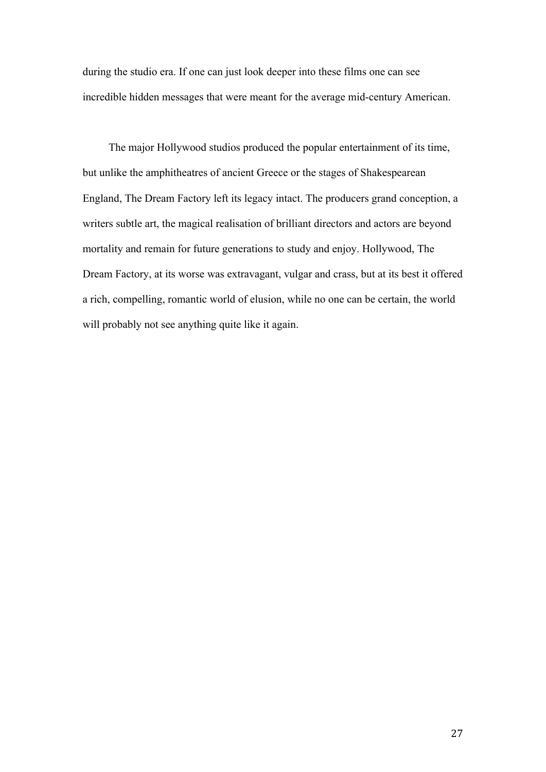during the studio era. If one can just look deeper into these films one can see incredible hidden messages that were meant for the average mid-century American.

The major Hollywood studios produced the popular entertainment of its time, but unlike the amphitheatres of ancient Greece or the stages of Shakespearean England, The Dream Factory left its legacy intact. The producers grand conception, a writers subtle art, the magical realisation of brilliant directors and actors are beyond mortality and remain for future generations to study and enjoy. Hollywood, The Dream Factory, at its worse was extravagant, vulgar and crass, but at its best it offered a rich, compelling, romantic world of elusion, while no one can be certain, the world will probably not see anything quite like it again.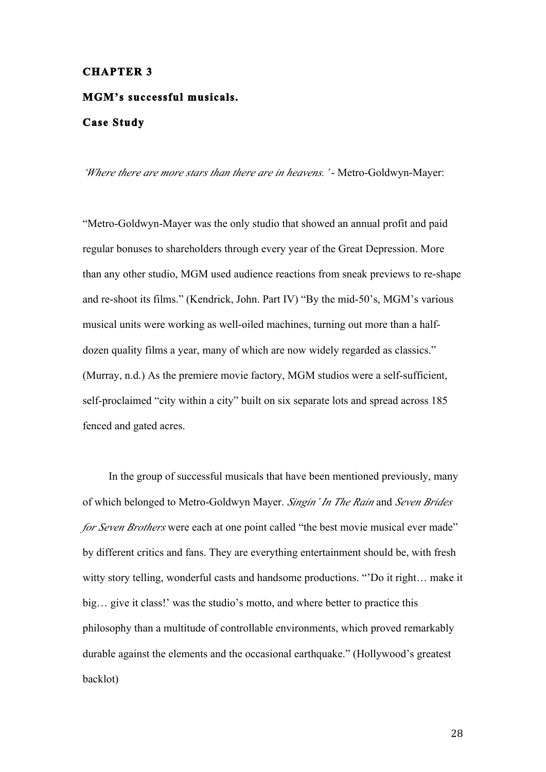#### **CHAPTER 3**

# **MGM's successful musicals. Case Study**

*'Where there are more stars than there are in heavens.'* - Metro-Goldwyn-Mayer:

"Metro-Goldwyn-Mayer was the only studio that showed an annual profit and paid regular bonuses to shareholders through every year of the Great Depression. More than any other studio, MGM used audience reactions from sneak previews to re-shape and re-shoot its films." (Kendrick, John. Part IV) "By the mid-50's, MGM's various musical units were working as well-oiled machines, turning out more than a halfdozen quality films a year, many of which are now widely regarded as classics." (Murray, n.d.) As the premiere movie factory, MGM studios were a self-sufficient, self-proclaimed "city within a city" built on six separate lots and spread across 185 fenced and gated acres.

In the group of successful musicals that have been mentioned previously, many of which belonged to Metro-Goldwyn Mayer. *Singin' In The Rain* and *Seven Brides for Seven Brothers* were each at one point called "the best movie musical ever made" by different critics and fans. They are everything entertainment should be, with fresh witty story telling, wonderful casts and handsome productions. "'Do it right… make it big… give it class!' was the studio's motto, and where better to practice this philosophy than a multitude of controllable environments, which proved remarkably durable against the elements and the occasional earthquake." (Hollywood's greatest backlot)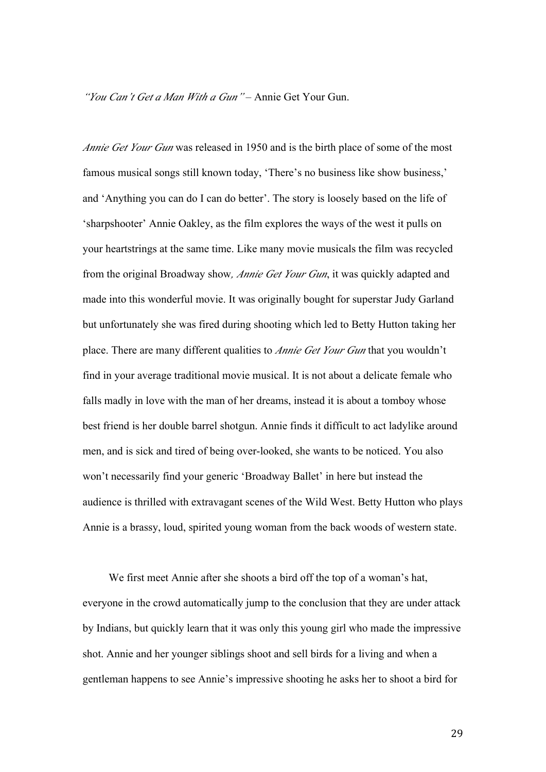*"You Can't Get a Man With a Gun"* – Annie Get Your Gun.

*Annie Get Your Gun* was released in 1950 and is the birth place of some of the most famous musical songs still known today, 'There's no business like show business,' and 'Anything you can do I can do better'. The story is loosely based on the life of 'sharpshooter' Annie Oakley, as the film explores the ways of the west it pulls on your heartstrings at the same time. Like many movie musicals the film was recycled from the original Broadway show*, Annie Get Your Gun*, it was quickly adapted and made into this wonderful movie. It was originally bought for superstar Judy Garland but unfortunately she was fired during shooting which led to Betty Hutton taking her place. There are many different qualities to *Annie Get Your Gun* that you wouldn't find in your average traditional movie musical. It is not about a delicate female who falls madly in love with the man of her dreams, instead it is about a tomboy whose best friend is her double barrel shotgun. Annie finds it difficult to act ladylike around men, and is sick and tired of being over-looked, she wants to be noticed. You also won't necessarily find your generic 'Broadway Ballet' in here but instead the audience is thrilled with extravagant scenes of the Wild West. Betty Hutton who plays Annie is a brassy, loud, spirited young woman from the back woods of western state.

We first meet Annie after she shoots a bird off the top of a woman's hat, everyone in the crowd automatically jump to the conclusion that they are under attack by Indians, but quickly learn that it was only this young girl who made the impressive shot. Annie and her younger siblings shoot and sell birds for a living and when a gentleman happens to see Annie's impressive shooting he asks her to shoot a bird for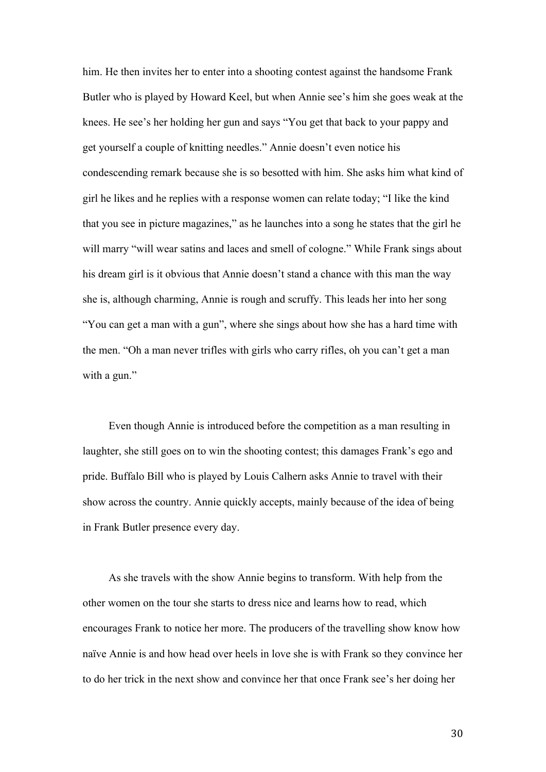him. He then invites her to enter into a shooting contest against the handsome Frank Butler who is played by Howard Keel, but when Annie see's him she goes weak at the knees. He see's her holding her gun and says "You get that back to your pappy and get yourself a couple of knitting needles." Annie doesn't even notice his condescending remark because she is so besotted with him. She asks him what kind of girl he likes and he replies with a response women can relate today; "I like the kind that you see in picture magazines," as he launches into a song he states that the girl he will marry "will wear satins and laces and smell of cologne." While Frank sings about his dream girl is it obvious that Annie doesn't stand a chance with this man the way she is, although charming, Annie is rough and scruffy. This leads her into her song "You can get a man with a gun", where she sings about how she has a hard time with the men. "Oh a man never trifles with girls who carry rifles, oh you can't get a man with a gun."

Even though Annie is introduced before the competition as a man resulting in laughter, she still goes on to win the shooting contest; this damages Frank's ego and pride. Buffalo Bill who is played by Louis Calhern asks Annie to travel with their show across the country. Annie quickly accepts, mainly because of the idea of being in Frank Butler presence every day.

As she travels with the show Annie begins to transform. With help from the other women on the tour she starts to dress nice and learns how to read, which encourages Frank to notice her more. The producers of the travelling show know how naïve Annie is and how head over heels in love she is with Frank so they convince her to do her trick in the next show and convince her that once Frank see's her doing her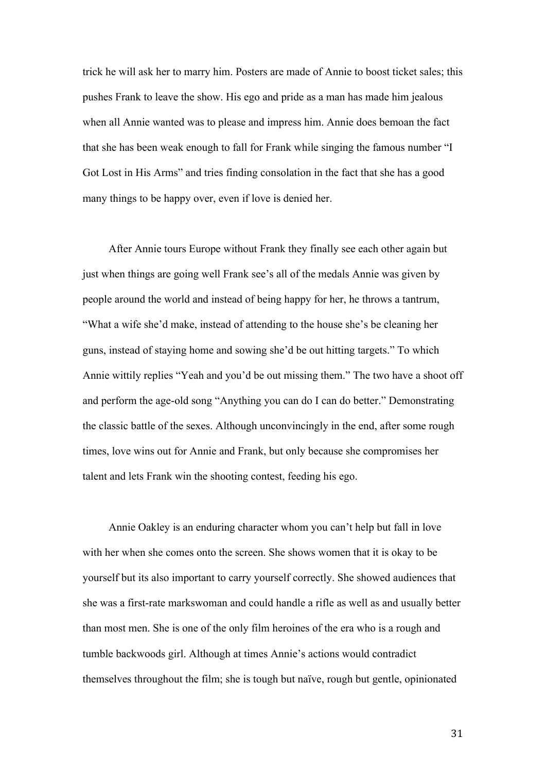trick he will ask her to marry him. Posters are made of Annie to boost ticket sales; this pushes Frank to leave the show. His ego and pride as a man has made him jealous when all Annie wanted was to please and impress him. Annie does bemoan the fact that she has been weak enough to fall for Frank while singing the famous number "I Got Lost in His Arms" and tries finding consolation in the fact that she has a good many things to be happy over, even if love is denied her.

After Annie tours Europe without Frank they finally see each other again but just when things are going well Frank see's all of the medals Annie was given by people around the world and instead of being happy for her, he throws a tantrum, "What a wife she'd make, instead of attending to the house she's be cleaning her guns, instead of staying home and sowing she'd be out hitting targets." To which Annie wittily replies "Yeah and you'd be out missing them." The two have a shoot off and perform the age-old song "Anything you can do I can do better." Demonstrating the classic battle of the sexes. Although unconvincingly in the end, after some rough times, love wins out for Annie and Frank, but only because she compromises her talent and lets Frank win the shooting contest, feeding his ego.

Annie Oakley is an enduring character whom you can't help but fall in love with her when she comes onto the screen. She shows women that it is okay to be yourself but its also important to carry yourself correctly. She showed audiences that she was a first-rate markswoman and could handle a rifle as well as and usually better than most men. She is one of the only film heroines of the era who is a rough and tumble backwoods girl. Although at times Annie's actions would contradict themselves throughout the film; she is tough but naïve, rough but gentle, opinionated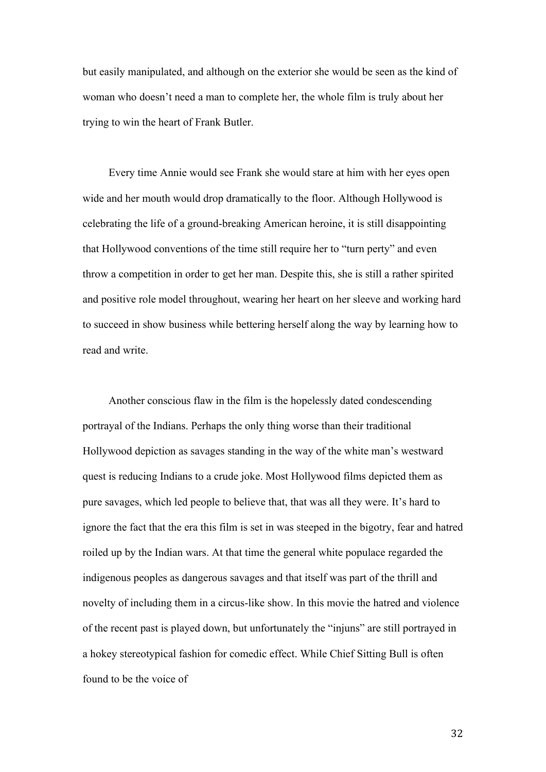but easily manipulated, and although on the exterior she would be seen as the kind of woman who doesn't need a man to complete her, the whole film is truly about her trying to win the heart of Frank Butler.

Every time Annie would see Frank she would stare at him with her eyes open wide and her mouth would drop dramatically to the floor. Although Hollywood is celebrating the life of a ground-breaking American heroine, it is still disappointing that Hollywood conventions of the time still require her to "turn perty" and even throw a competition in order to get her man. Despite this, she is still a rather spirited and positive role model throughout, wearing her heart on her sleeve and working hard to succeed in show business while bettering herself along the way by learning how to read and write.

Another conscious flaw in the film is the hopelessly dated condescending portrayal of the Indians. Perhaps the only thing worse than their traditional Hollywood depiction as savages standing in the way of the white man's westward quest is reducing Indians to a crude joke. Most Hollywood films depicted them as pure savages, which led people to believe that, that was all they were. It's hard to ignore the fact that the era this film is set in was steeped in the bigotry, fear and hatred roiled up by the Indian wars. At that time the general white populace regarded the indigenous peoples as dangerous savages and that itself was part of the thrill and novelty of including them in a circus-like show. In this movie the hatred and violence of the recent past is played down, but unfortunately the "injuns" are still portrayed in a hokey stereotypical fashion for comedic effect. While Chief Sitting Bull is often found to be the voice of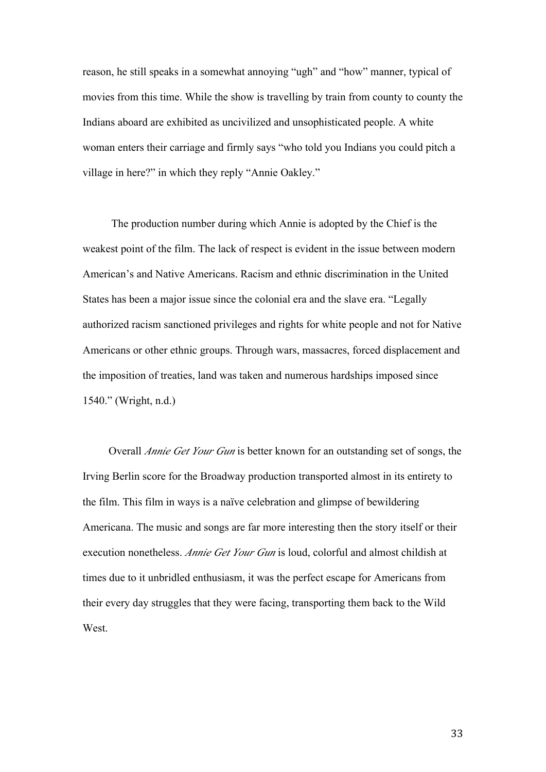reason, he still speaks in a somewhat annoying "ugh" and "how" manner, typical of movies from this time. While the show is travelling by train from county to county the Indians aboard are exhibited as uncivilized and unsophisticated people. A white woman enters their carriage and firmly says "who told you Indians you could pitch a village in here?" in which they reply "Annie Oakley."

 The production number during which Annie is adopted by the Chief is the weakest point of the film. The lack of respect is evident in the issue between modern American's and Native Americans. Racism and ethnic discrimination in the United States has been a major issue since the colonial era and the slave era. "Legally authorized racism sanctioned privileges and rights for white people and not for Native Americans or other ethnic groups. Through wars, massacres, forced displacement and the imposition of treaties, land was taken and numerous hardships imposed since 1540." (Wright, n.d.)

Overall *Annie Get Your Gun* is better known for an outstanding set of songs, the Irving Berlin score for the Broadway production transported almost in its entirety to the film. This film in ways is a naïve celebration and glimpse of bewildering Americana. The music and songs are far more interesting then the story itself or their execution nonetheless. *Annie Get Your Gun* is loud, colorful and almost childish at times due to it unbridled enthusiasm, it was the perfect escape for Americans from their every day struggles that they were facing, transporting them back to the Wild **West**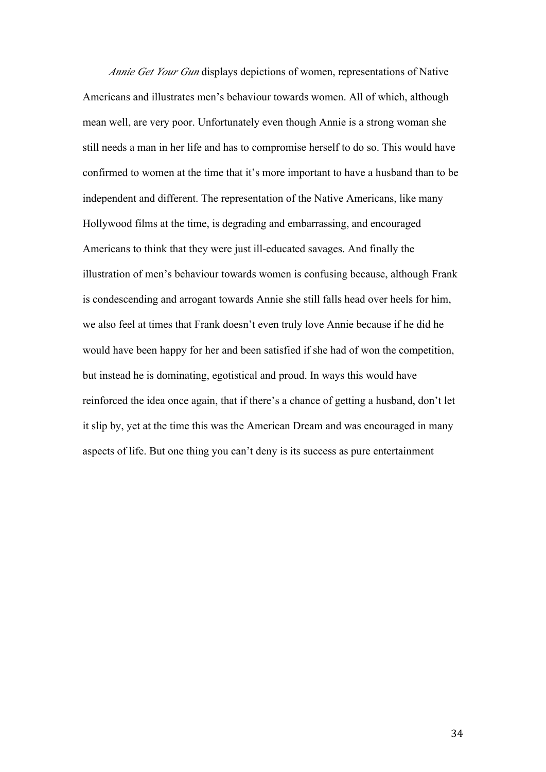*Annie Get Your Gun* displays depictions of women, representations of Native Americans and illustrates men's behaviour towards women. All of which, although mean well, are very poor. Unfortunately even though Annie is a strong woman she still needs a man in her life and has to compromise herself to do so. This would have confirmed to women at the time that it's more important to have a husband than to be independent and different. The representation of the Native Americans, like many Hollywood films at the time, is degrading and embarrassing, and encouraged Americans to think that they were just ill-educated savages. And finally the illustration of men's behaviour towards women is confusing because, although Frank is condescending and arrogant towards Annie she still falls head over heels for him, we also feel at times that Frank doesn't even truly love Annie because if he did he would have been happy for her and been satisfied if she had of won the competition, but instead he is dominating, egotistical and proud. In ways this would have reinforced the idea once again, that if there's a chance of getting a husband, don't let it slip by, yet at the time this was the American Dream and was encouraged in many aspects of life. But one thing you can't deny is its success as pure entertainment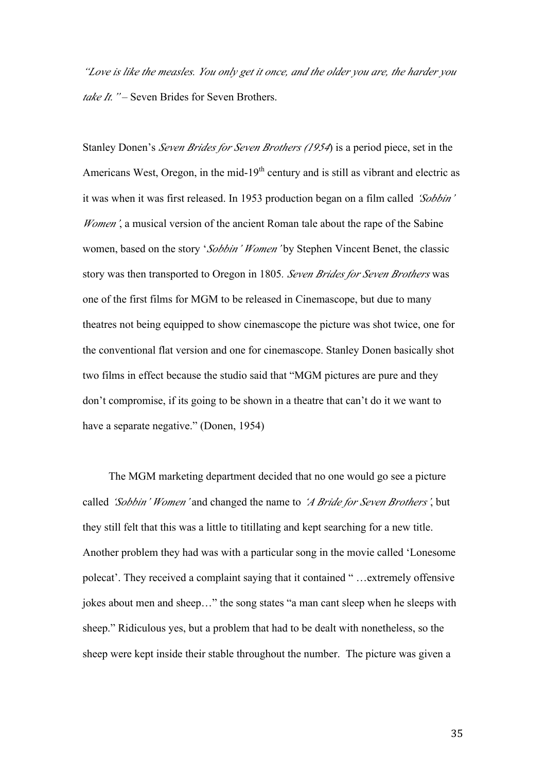*"Love is like the measles. You only get it once, and the older you are, the harder you*  take It. " – Seven Brides for Seven Brothers.

Stanley Donen's *Seven Brides for Seven Brothers (1954*) is a period piece, set in the Americans West, Oregon, in the mid- $19<sup>th</sup>$  century and is still as vibrant and electric as it was when it was first released. In 1953 production began on a film called *'Sobbin' Women'*, a musical version of the ancient Roman tale about the rape of the Sabine women, based on the story '*Sobbin' Women'* by Stephen Vincent Benet, the classic story was then transported to Oregon in 1805*. Seven Brides for Seven Brothers* was one of the first films for MGM to be released in Cinemascope, but due to many theatres not being equipped to show cinemascope the picture was shot twice, one for the conventional flat version and one for cinemascope. Stanley Donen basically shot two films in effect because the studio said that "MGM pictures are pure and they don't compromise, if its going to be shown in a theatre that can't do it we want to have a separate negative." (Donen, 1954)

The MGM marketing department decided that no one would go see a picture called *'Sobbin' Women'* and changed the name to *'A Bride for Seven Brothers'*, but they still felt that this was a little to titillating and kept searching for a new title. Another problem they had was with a particular song in the movie called 'Lonesome polecat'. They received a complaint saying that it contained " …extremely offensive jokes about men and sheep…" the song states "a man cant sleep when he sleeps with sheep." Ridiculous yes, but a problem that had to be dealt with nonetheless, so the sheep were kept inside their stable throughout the number. The picture was given a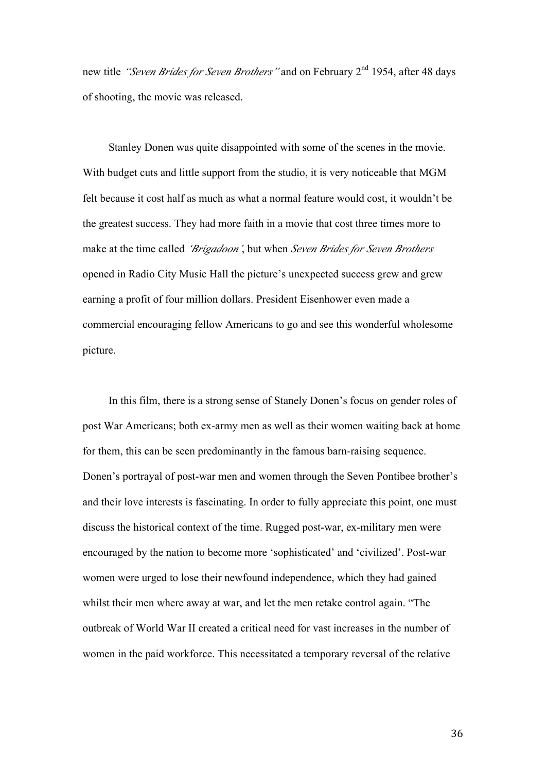new title *"Seven Brides for Seven Brothers"* and on February 2nd 1954, after 48 days of shooting, the movie was released.

Stanley Donen was quite disappointed with some of the scenes in the movie. With budget cuts and little support from the studio, it is very noticeable that MGM felt because it cost half as much as what a normal feature would cost, it wouldn't be the greatest success. They had more faith in a movie that cost three times more to make at the time called *'Brigadoon'*, but when *Seven Brides for Seven Brothers* opened in Radio City Music Hall the picture's unexpected success grew and grew earning a profit of four million dollars. President Eisenhower even made a commercial encouraging fellow Americans to go and see this wonderful wholesome picture.

In this film, there is a strong sense of Stanely Donen's focus on gender roles of post War Americans; both ex-army men as well as their women waiting back at home for them, this can be seen predominantly in the famous barn-raising sequence. Donen's portrayal of post-war men and women through the Seven Pontibee brother's and their love interests is fascinating. In order to fully appreciate this point, one must discuss the historical context of the time. Rugged post-war, ex-military men were encouraged by the nation to become more 'sophisticated' and 'civilized'. Post-war women were urged to lose their newfound independence, which they had gained whilst their men where away at war, and let the men retake control again. "The outbreak of World War II created a critical need for vast increases in the number of women in the paid workforce. This necessitated a temporary reversal of the relative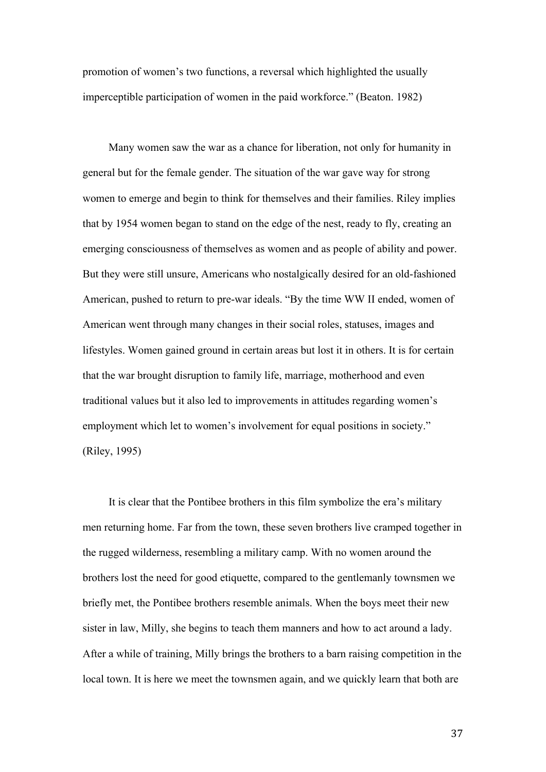promotion of women's two functions, a reversal which highlighted the usually imperceptible participation of women in the paid workforce." (Beaton. 1982)

Many women saw the war as a chance for liberation, not only for humanity in general but for the female gender. The situation of the war gave way for strong women to emerge and begin to think for themselves and their families. Riley implies that by 1954 women began to stand on the edge of the nest, ready to fly, creating an emerging consciousness of themselves as women and as people of ability and power. But they were still unsure, Americans who nostalgically desired for an old-fashioned American, pushed to return to pre-war ideals. "By the time WW II ended, women of American went through many changes in their social roles, statuses, images and lifestyles. Women gained ground in certain areas but lost it in others. It is for certain that the war brought disruption to family life, marriage, motherhood and even traditional values but it also led to improvements in attitudes regarding women's employment which let to women's involvement for equal positions in society." (Riley, 1995)

It is clear that the Pontibee brothers in this film symbolize the era's military men returning home. Far from the town, these seven brothers live cramped together in the rugged wilderness, resembling a military camp. With no women around the brothers lost the need for good etiquette, compared to the gentlemanly townsmen we briefly met, the Pontibee brothers resemble animals. When the boys meet their new sister in law, Milly, she begins to teach them manners and how to act around a lady. After a while of training, Milly brings the brothers to a barn raising competition in the local town. It is here we meet the townsmen again, and we quickly learn that both are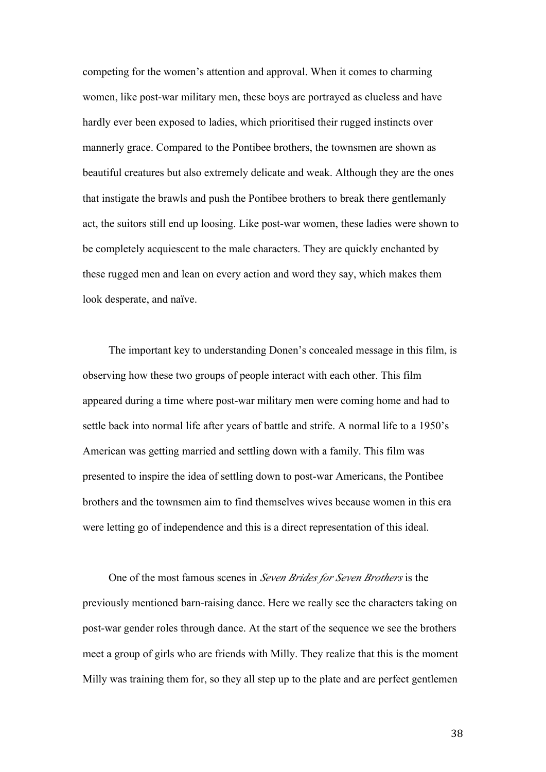competing for the women's attention and approval. When it comes to charming women, like post-war military men, these boys are portrayed as clueless and have hardly ever been exposed to ladies, which prioritised their rugged instincts over mannerly grace. Compared to the Pontibee brothers, the townsmen are shown as beautiful creatures but also extremely delicate and weak. Although they are the ones that instigate the brawls and push the Pontibee brothers to break there gentlemanly act, the suitors still end up loosing. Like post-war women, these ladies were shown to be completely acquiescent to the male characters. They are quickly enchanted by these rugged men and lean on every action and word they say, which makes them look desperate, and naïve.

The important key to understanding Donen's concealed message in this film, is observing how these two groups of people interact with each other. This film appeared during a time where post-war military men were coming home and had to settle back into normal life after years of battle and strife. A normal life to a 1950's American was getting married and settling down with a family. This film was presented to inspire the idea of settling down to post-war Americans, the Pontibee brothers and the townsmen aim to find themselves wives because women in this era were letting go of independence and this is a direct representation of this ideal.

One of the most famous scenes in *Seven Brides for Seven Brothers* is the previously mentioned barn-raising dance. Here we really see the characters taking on post-war gender roles through dance. At the start of the sequence we see the brothers meet a group of girls who are friends with Milly. They realize that this is the moment Milly was training them for, so they all step up to the plate and are perfect gentlemen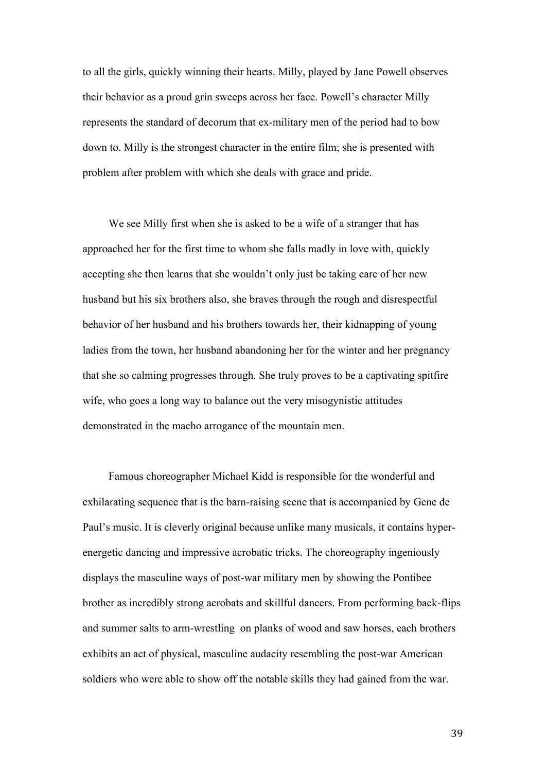to all the girls, quickly winning their hearts. Milly, played by Jane Powell observes their behavior as a proud grin sweeps across her face. Powell's character Milly represents the standard of decorum that ex-military men of the period had to bow down to. Milly is the strongest character in the entire film; she is presented with problem after problem with which she deals with grace and pride.

We see Milly first when she is asked to be a wife of a stranger that has approached her for the first time to whom she falls madly in love with, quickly accepting she then learns that she wouldn't only just be taking care of her new husband but his six brothers also, she braves through the rough and disrespectful behavior of her husband and his brothers towards her, their kidnapping of young ladies from the town, her husband abandoning her for the winter and her pregnancy that she so calming progresses through. She truly proves to be a captivating spitfire wife, who goes a long way to balance out the very misogynistic attitudes demonstrated in the macho arrogance of the mountain men.

Famous choreographer Michael Kidd is responsible for the wonderful and exhilarating sequence that is the barn-raising scene that is accompanied by Gene de Paul's music. It is cleverly original because unlike many musicals, it contains hyperenergetic dancing and impressive acrobatic tricks. The choreography ingeniously displays the masculine ways of post-war military men by showing the Pontibee brother as incredibly strong acrobats and skillful dancers. From performing back-flips and summer salts to arm-wrestling on planks of wood and saw horses, each brothers exhibits an act of physical, masculine audacity resembling the post-war American soldiers who were able to show off the notable skills they had gained from the war.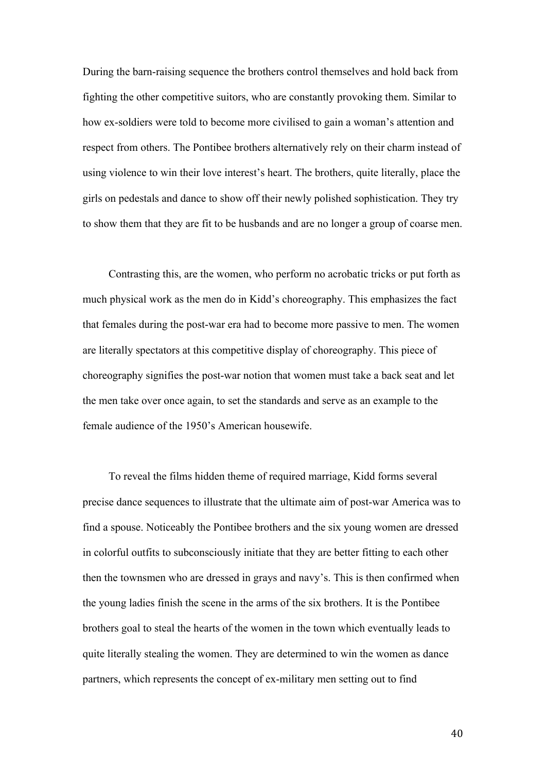During the barn-raising sequence the brothers control themselves and hold back from fighting the other competitive suitors, who are constantly provoking them. Similar to how ex-soldiers were told to become more civilised to gain a woman's attention and respect from others. The Pontibee brothers alternatively rely on their charm instead of using violence to win their love interest's heart. The brothers, quite literally, place the girls on pedestals and dance to show off their newly polished sophistication. They try to show them that they are fit to be husbands and are no longer a group of coarse men.

Contrasting this, are the women, who perform no acrobatic tricks or put forth as much physical work as the men do in Kidd's choreography. This emphasizes the fact that females during the post-war era had to become more passive to men. The women are literally spectators at this competitive display of choreography. This piece of choreography signifies the post-war notion that women must take a back seat and let the men take over once again, to set the standards and serve as an example to the female audience of the 1950's American housewife.

To reveal the films hidden theme of required marriage, Kidd forms several precise dance sequences to illustrate that the ultimate aim of post-war America was to find a spouse. Noticeably the Pontibee brothers and the six young women are dressed in colorful outfits to subconsciously initiate that they are better fitting to each other then the townsmen who are dressed in grays and navy's. This is then confirmed when the young ladies finish the scene in the arms of the six brothers. It is the Pontibee brothers goal to steal the hearts of the women in the town which eventually leads to quite literally stealing the women. They are determined to win the women as dance partners, which represents the concept of ex-military men setting out to find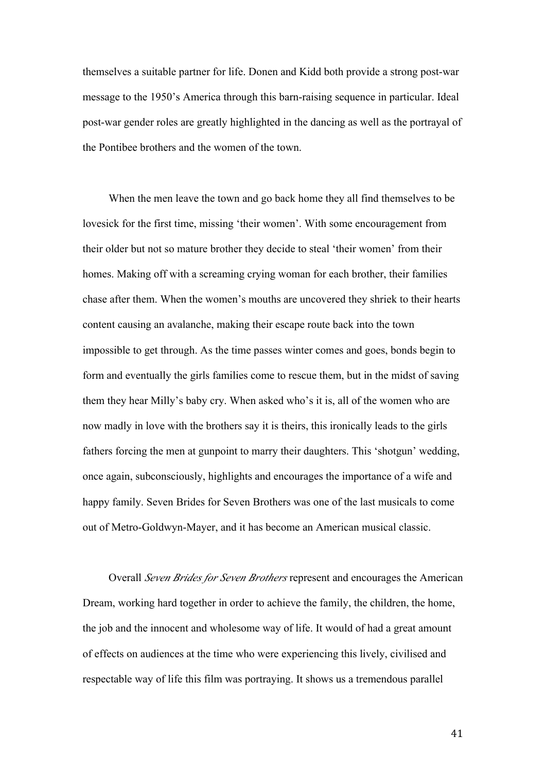themselves a suitable partner for life. Donen and Kidd both provide a strong post-war message to the 1950's America through this barn-raising sequence in particular. Ideal post-war gender roles are greatly highlighted in the dancing as well as the portrayal of the Pontibee brothers and the women of the town.

When the men leave the town and go back home they all find themselves to be lovesick for the first time, missing 'their women'. With some encouragement from their older but not so mature brother they decide to steal 'their women' from their homes. Making off with a screaming crying woman for each brother, their families chase after them. When the women's mouths are uncovered they shriek to their hearts content causing an avalanche, making their escape route back into the town impossible to get through. As the time passes winter comes and goes, bonds begin to form and eventually the girls families come to rescue them, but in the midst of saving them they hear Milly's baby cry. When asked who's it is, all of the women who are now madly in love with the brothers say it is theirs, this ironically leads to the girls fathers forcing the men at gunpoint to marry their daughters. This 'shotgun' wedding, once again, subconsciously, highlights and encourages the importance of a wife and happy family. Seven Brides for Seven Brothers was one of the last musicals to come out of Metro-Goldwyn-Mayer, and it has become an American musical classic.

Overall *Seven Brides for Seven Brothers* represent and encourages the American Dream, working hard together in order to achieve the family, the children, the home, the job and the innocent and wholesome way of life. It would of had a great amount of effects on audiences at the time who were experiencing this lively, civilised and respectable way of life this film was portraying. It shows us a tremendous parallel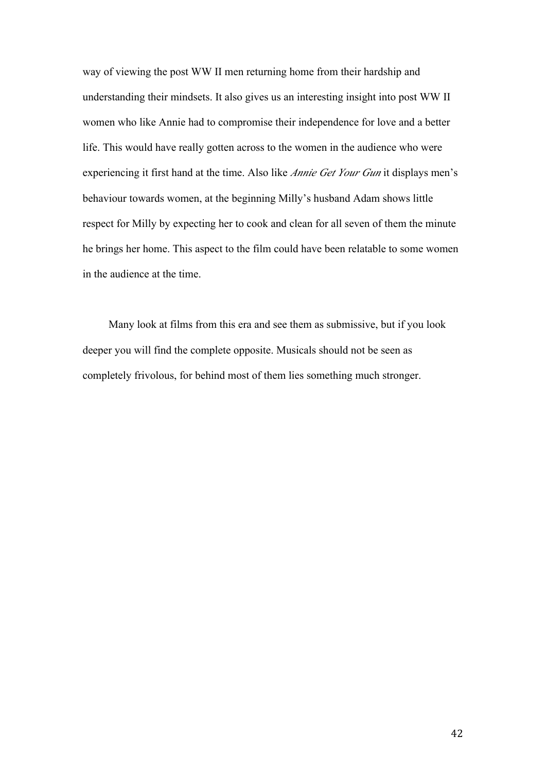way of viewing the post WW II men returning home from their hardship and understanding their mindsets. It also gives us an interesting insight into post WW II women who like Annie had to compromise their independence for love and a better life. This would have really gotten across to the women in the audience who were experiencing it first hand at the time. Also like *Annie Get Your Gun* it displays men's behaviour towards women, at the beginning Milly's husband Adam shows little respect for Milly by expecting her to cook and clean for all seven of them the minute he brings her home. This aspect to the film could have been relatable to some women in the audience at the time.

Many look at films from this era and see them as submissive, but if you look deeper you will find the complete opposite. Musicals should not be seen as completely frivolous, for behind most of them lies something much stronger.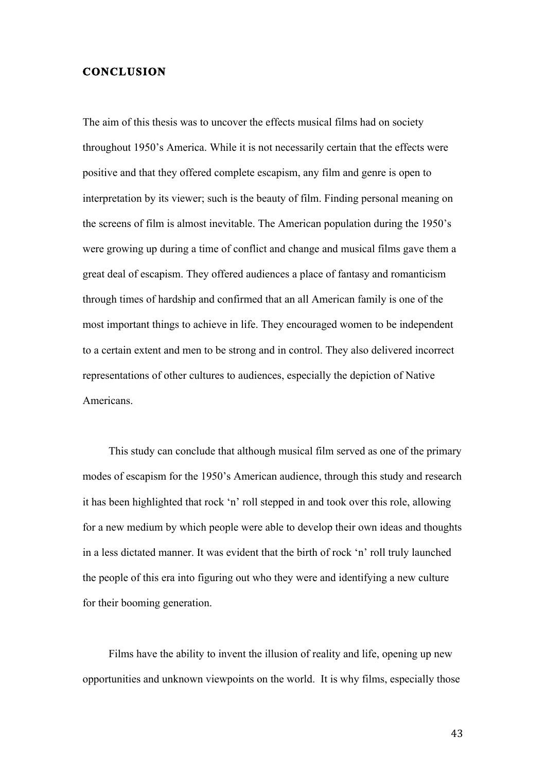#### **CONCLUSION**

The aim of this thesis was to uncover the effects musical films had on society throughout 1950's America. While it is not necessarily certain that the effects were positive and that they offered complete escapism, any film and genre is open to interpretation by its viewer; such is the beauty of film. Finding personal meaning on the screens of film is almost inevitable. The American population during the 1950's were growing up during a time of conflict and change and musical films gave them a great deal of escapism. They offered audiences a place of fantasy and romanticism through times of hardship and confirmed that an all American family is one of the most important things to achieve in life. They encouraged women to be independent to a certain extent and men to be strong and in control. They also delivered incorrect representations of other cultures to audiences, especially the depiction of Native Americans.

This study can conclude that although musical film served as one of the primary modes of escapism for the 1950's American audience, through this study and research it has been highlighted that rock 'n' roll stepped in and took over this role, allowing for a new medium by which people were able to develop their own ideas and thoughts in a less dictated manner. It was evident that the birth of rock 'n' roll truly launched the people of this era into figuring out who they were and identifying a new culture for their booming generation.

Films have the ability to invent the illusion of reality and life, opening up new opportunities and unknown viewpoints on the world. It is why films, especially those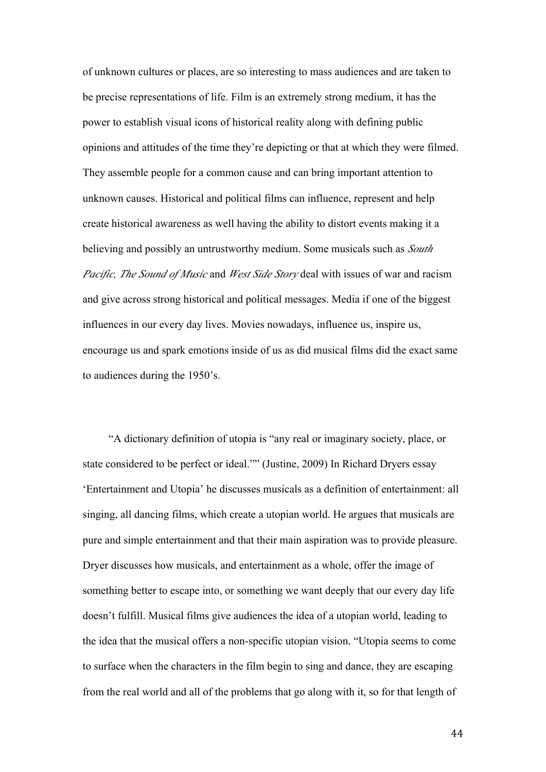of unknown cultures or places, are so interesting to mass audiences and are taken to be precise representations of life. Film is an extremely strong medium, it has the power to establish visual icons of historical reality along with defining public opinions and attitudes of the time they're depicting or that at which they were filmed. They assemble people for a common cause and can bring important attention to unknown causes. Historical and political films can influence, represent and help create historical awareness as well having the ability to distort events making it a believing and possibly an untrustworthy medium. Some musicals such as *South Pacific, The Sound of Music* and *West Side Story* deal with issues of war and racism and give across strong historical and political messages. Media if one of the biggest influences in our every day lives. Movies nowadays, influence us, inspire us, encourage us and spark emotions inside of us as did musical films did the exact same to audiences during the 1950's.

"A dictionary definition of utopia is "any real or imaginary society, place, or state considered to be perfect or ideal."" (Justine, 2009) In Richard Dryers essay 'Entertainment and Utopia' he discusses musicals as a definition of entertainment: all singing, all dancing films, which create a utopian world. He argues that musicals are pure and simple entertainment and that their main aspiration was to provide pleasure. Dryer discusses how musicals, and entertainment as a whole, offer the image of something better to escape into, or something we want deeply that our every day life doesn't fulfill. Musical films give audiences the idea of a utopian world, leading to the idea that the musical offers a non-specific utopian vision. "Utopia seems to come to surface when the characters in the film begin to sing and dance, they are escaping from the real world and all of the problems that go along with it, so for that length of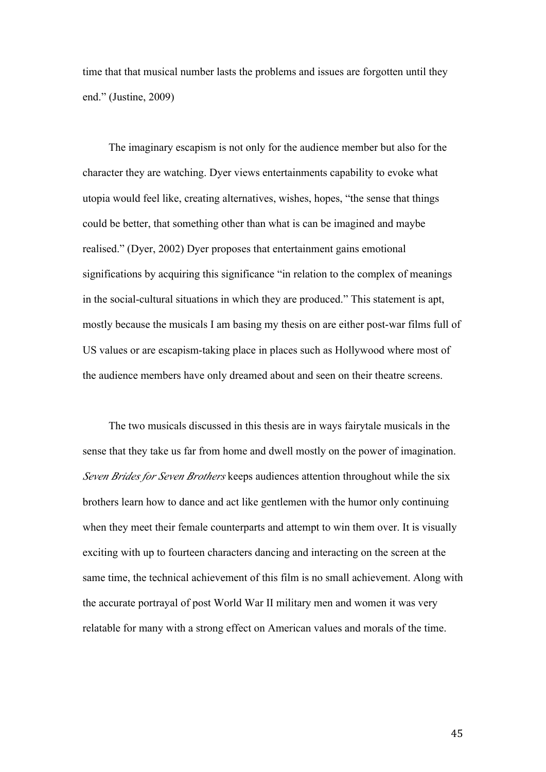time that that musical number lasts the problems and issues are forgotten until they end." (Justine, 2009)

The imaginary escapism is not only for the audience member but also for the character they are watching. Dyer views entertainments capability to evoke what utopia would feel like, creating alternatives, wishes, hopes, "the sense that things could be better, that something other than what is can be imagined and maybe realised." (Dyer, 2002) Dyer proposes that entertainment gains emotional significations by acquiring this significance "in relation to the complex of meanings in the social-cultural situations in which they are produced." This statement is apt, mostly because the musicals I am basing my thesis on are either post-war films full of US values or are escapism-taking place in places such as Hollywood where most of the audience members have only dreamed about and seen on their theatre screens.

The two musicals discussed in this thesis are in ways fairytale musicals in the sense that they take us far from home and dwell mostly on the power of imagination. *Seven Brides for Seven Brothers* keeps audiences attention throughout while the six brothers learn how to dance and act like gentlemen with the humor only continuing when they meet their female counterparts and attempt to win them over. It is visually exciting with up to fourteen characters dancing and interacting on the screen at the same time, the technical achievement of this film is no small achievement. Along with the accurate portrayal of post World War II military men and women it was very relatable for many with a strong effect on American values and morals of the time.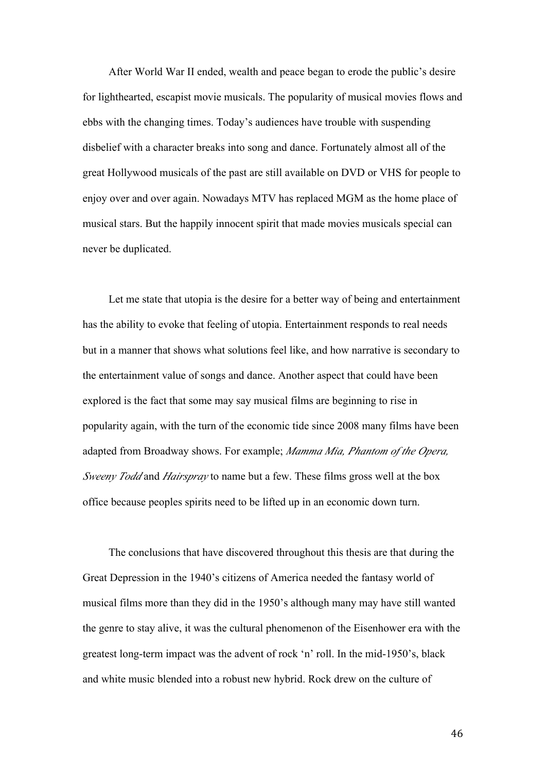After World War II ended, wealth and peace began to erode the public's desire for lighthearted, escapist movie musicals. The popularity of musical movies flows and ebbs with the changing times. Today's audiences have trouble with suspending disbelief with a character breaks into song and dance. Fortunately almost all of the great Hollywood musicals of the past are still available on DVD or VHS for people to enjoy over and over again. Nowadays MTV has replaced MGM as the home place of musical stars. But the happily innocent spirit that made movies musicals special can never be duplicated.

Let me state that utopia is the desire for a better way of being and entertainment has the ability to evoke that feeling of utopia. Entertainment responds to real needs but in a manner that shows what solutions feel like, and how narrative is secondary to the entertainment value of songs and dance. Another aspect that could have been explored is the fact that some may say musical films are beginning to rise in popularity again, with the turn of the economic tide since 2008 many films have been adapted from Broadway shows. For example; *Mamma Mia, Phantom of the Opera, Sweeny Todd* and *Hairspray* to name but a few. These films gross well at the box office because peoples spirits need to be lifted up in an economic down turn.

The conclusions that have discovered throughout this thesis are that during the Great Depression in the 1940's citizens of America needed the fantasy world of musical films more than they did in the 1950's although many may have still wanted the genre to stay alive, it was the cultural phenomenon of the Eisenhower era with the greatest long-term impact was the advent of rock 'n' roll. In the mid-1950's, black and white music blended into a robust new hybrid. Rock drew on the culture of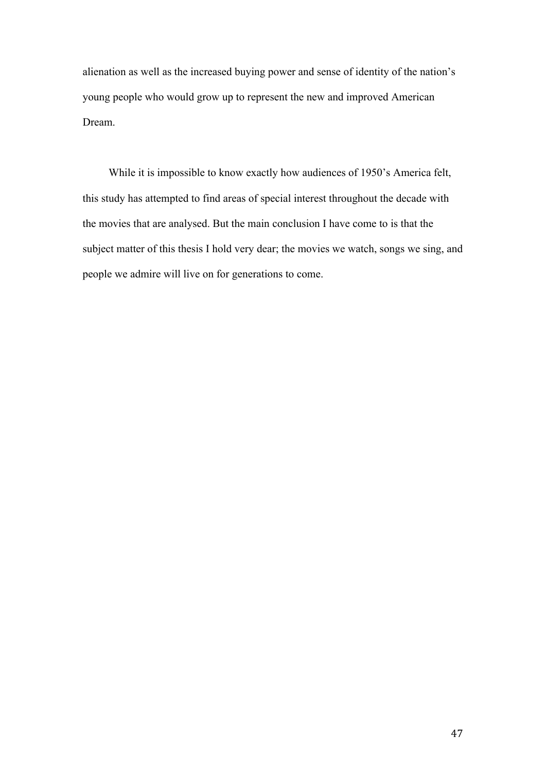alienation as well as the increased buying power and sense of identity of the nation's young people who would grow up to represent the new and improved American Dream.

While it is impossible to know exactly how audiences of 1950's America felt, this study has attempted to find areas of special interest throughout the decade with the movies that are analysed. But the main conclusion I have come to is that the subject matter of this thesis I hold very dear; the movies we watch, songs we sing, and people we admire will live on for generations to come.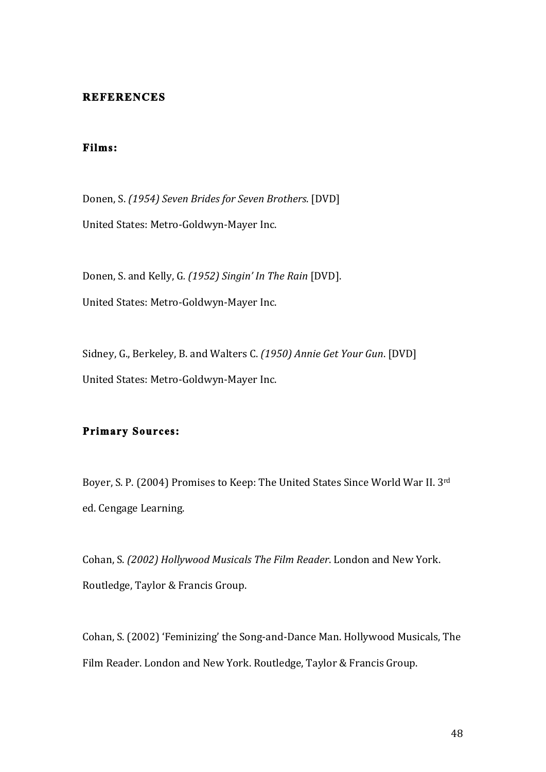#### **REFERENCES**

# **Films:**

Donen, S. *(1954) Seven Brides for Seven Brothers*. [DVD] United States: Metro-Goldwyn-Mayer Inc.

Donen, S. and Kelly, G. (1952) Singin' In The Rain [DVD]. United States: Metro-Goldwyn-Mayer Inc.

Sidney, G., Berkeley, B. and Walters C. *(1950) Annie Get Your Gun*. [DVD] United States: Metro-Goldwyn-Mayer Inc.

#### **Primary Sources:**

Boyer, S. P. (2004) Promises to Keep: The United States Since World War II. 3rd ed. Cengage Learning.

Cohan, S. *(2002) Hollywood Musicals The Film Reader*. London and New York. Routledge, Taylor & Francis Group.

Cohan, S. (2002) 'Feminizing' the Song-and-Dance Man. Hollywood Musicals, The Film Reader. London and New York. Routledge, Taylor & Francis Group.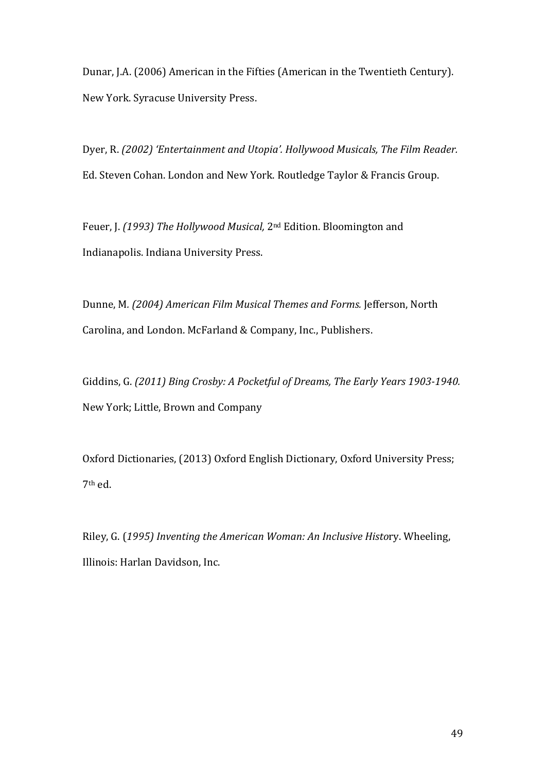Dunar, J.A. (2006) American in the Fifties (American in the Twentieth Century). New York. Syracuse University Press.

Dyer, R. (2002) 'Entertainment and Utopia'. Hollywood Musicals, The Film Reader. Ed. Steven Cohan. London and New York. Routledge Taylor & Francis Group.

Feuer, J. (1993) The Hollywood Musical, 2<sup>nd</sup> Edition. Bloomington and Indianapolis. Indiana University Press.

Dunne, M. (2004) American Film Musical Themes and Forms. Jefferson, North Carolina, and London. McFarland & Company, Inc., Publishers.

Giddins, G. (2011) Bing Crosby: A Pocketful of Dreams, The Early Years 1903-1940. New York; Little, Brown and Company

Oxford Dictionaries, (2013) Oxford English Dictionary, Oxford University Press;  $7<sup>th</sup>$  ed.

Riley,!G.!(*1995)'Inventing'the'American'Woman:'An'Inclusive'Histo*ry.!Wheeling,! Illinois: Harlan Davidson, Inc.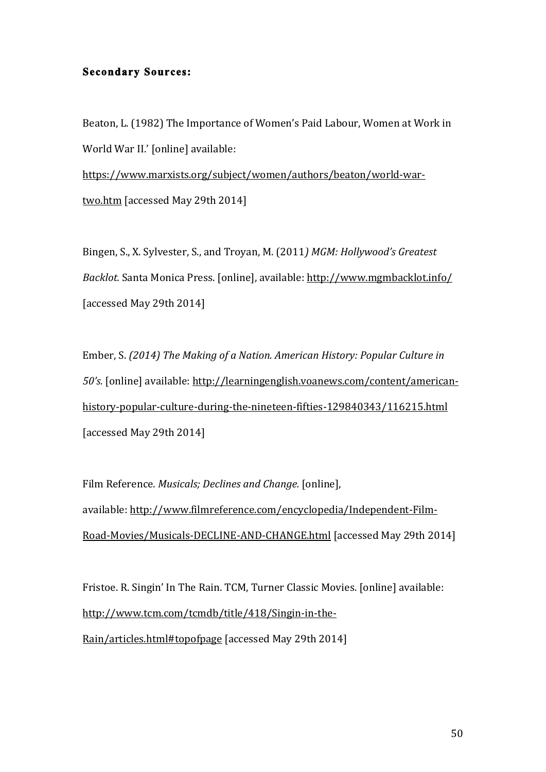#### **Secondary Sources:**

Beaton, L. (1982) The Importance of Women's Paid Labour, Women at Work in World War II.' [online] available: https://www.marxists.org/subject/women/authors/beaton/world-wartwo.htm [accessed May 29th 2014]

Bingen, S., X. Sylvester, S., and Troyan, M. (2011) MGM: Hollywood's Greatest *Backlot.* Santa Monica Press. [online], available: http://www.mgmbacklot.info/ [accessed May 29th 2014]

Ember, S. (2014) The Making of a Nation. American History: Popular Culture in *50's.* [online] available: http://learningenglish.voanews.com/content/americanhistory-popular-culture-during-the-nineteen-fifties-129840343/116215.html [accessed May 29th 2014]

Film Reference. *Musicals; Declines and Change.* [online], available: http://www.filmreference.com/encyclopedia/Independent-Film-Road-Movies/Musicals-DECLINE-AND-CHANGE.html [accessed May 29th 2014]

Fristoe. R. Singin' In The Rain. TCM, Turner Classic Movies. [online] available: http://www.tcm.com/tcmdb/title/418/Singin-in-the-Rain/articles.html#topofpage [accessed May 29th 2014]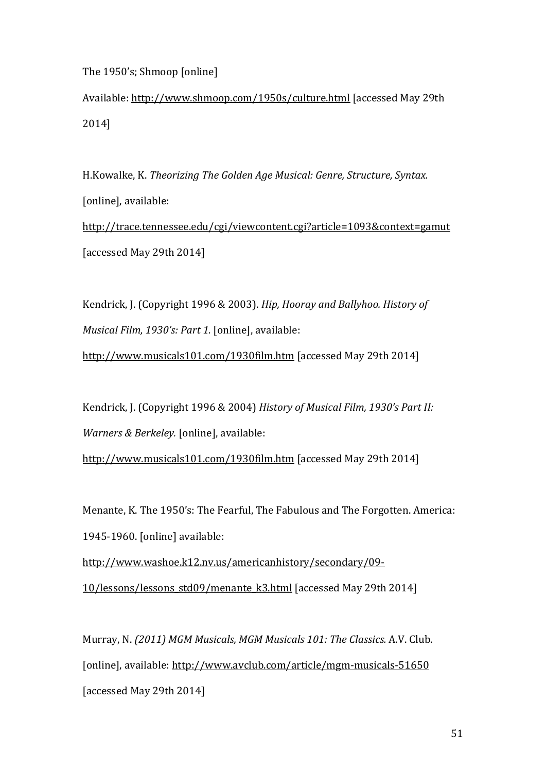The 1950's; Shmoop [online]

Available: http://www.shmoop.com/1950s/culture.html [accessed May 29th 2014]

H.Kowalke, K. *Theorizing The Golden Age Musical: Genre, Structure, Syntax.* [online], available: http://trace.tennessee.edu/cgi/viewcontent.cgi?article=1093&context=gamut [accessed May 29th 2014]

Kendrick, J. (Copyright 1996 & 2003). *Hip, Hooray and Ballyhoo. History of Musical Film, 1930's: Part 1.* [online], available:

http://www.musicals101.com/1930film.htm [accessed May 29th 2014]

Kendrick, J. (Copyright 1996 & 2004) *History of Musical Film, 1930's Part II: Warners & Berkeley.* [online], available:

http://www.musicals101.com/1930film.htm [accessed May 29th 2014]

Menante, K. The 1950's: The Fearful, The Fabulous and The Forgotten. America: 1945-1960. [online] available:

http://www.washoe.k12.nv.us/americanhistory/secondary/09-10/lessons/lessons\_std09/menante\_k3.html [accessed May 29th 2014]

Murray, N. *(2011) MGM Musicals, MGM Musicals 101: The Classics. A.V. Club.* [online], available: http://www.avclub.com/article/mgm-musicals-51650 [accessed May 29th 2014]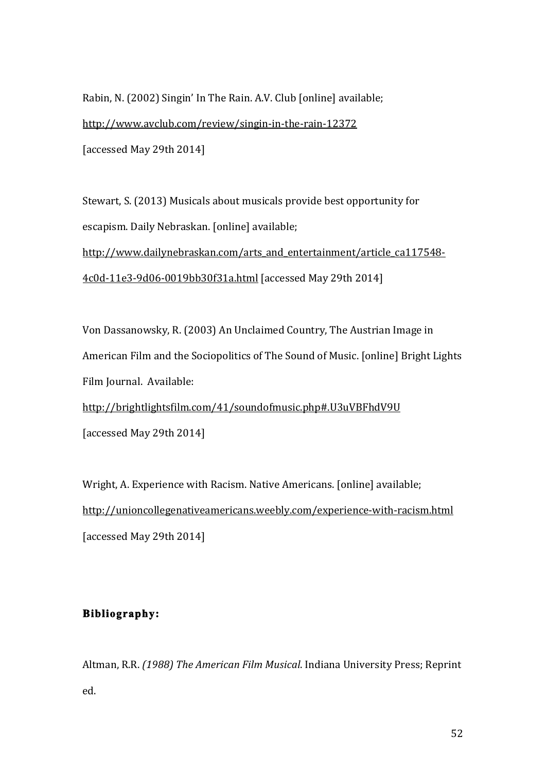Rabin, N. (2002) Singin' In The Rain. A.V. Club [online] available; http://www.avclub.com/review/singin-in-the-rain-12372 [accessed May 29th 2014]

Stewart, S. (2013) Musicals about musicals provide best opportunity for escapism. Daily Nebraskan. [online] available;

http://www.dailynebraskan.com/arts\_and\_entertainment/article\_ca117548-4c0d?11e3?9d06?0019bb30f31a.html![accessed!May!29th!2014]

Von Dassanowsky, R. (2003) An Unclaimed Country, The Austrian Image in American Film and the Sociopolitics of The Sound of Music. [online] Bright Lights Film Journal. Available:

http://brightlightsfilm.com/41/soundofmusic.php#.U3uVBFhdV9U [accessed May 29th 2014]

Wright, A. Experience with Racism. Native Americans. [online] available; http://unioncollegenativeamericans.weebly.com/experience-with-racism.html [accessed May 29th 2014]

# **Bibliography:**

Altman, R.R. *(1988) The American Film Musical*. Indiana University Press; Reprint ed.